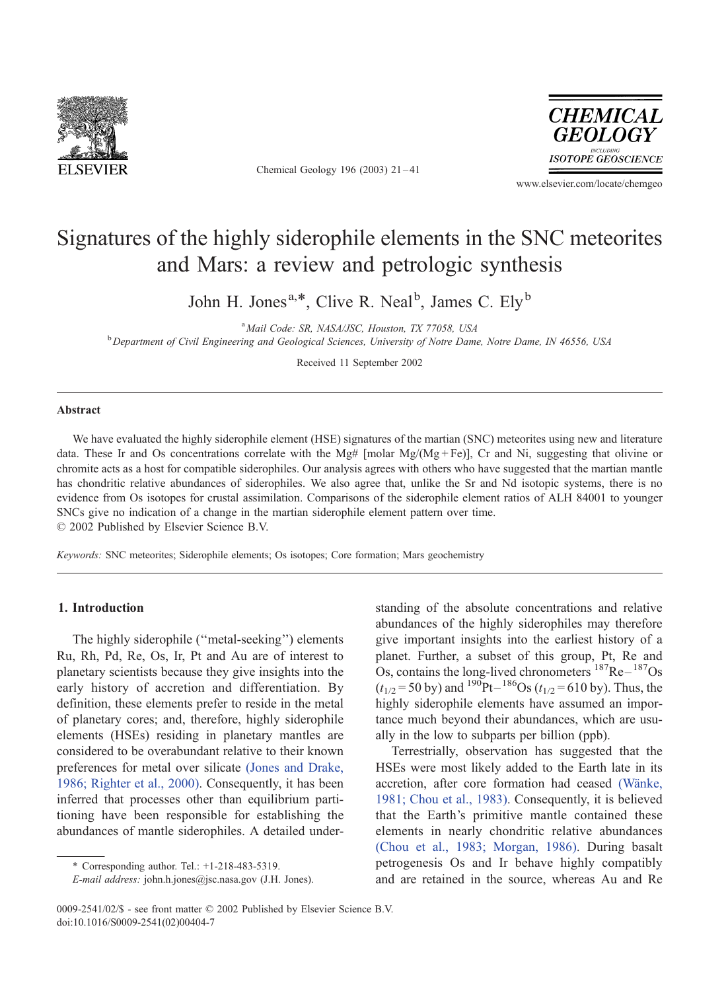

Chemical Geology 196 (2003) 21 – 41



www.elsevier.com/locate/chemgeo

# Signatures of the highly siderophile elements in the SNC meteorites and Mars: a review and petrologic synthesis

John H. Jones<sup>a,\*</sup>, Clive R. Neal<sup>b</sup>, James C. Ely<sup>b</sup>

<sup>a</sup> Mail Code: SR, NASA/JSC, Houston, TX 77058, USA  $b$  Department of Civil Engineering and Geological Sciences, University of Notre Dame, Notre Dame, IN 46556, USA

Received 11 September 2002

#### Abstract

We have evaluated the highly siderophile element (HSE) signatures of the martian (SNC) meteorites using new and literature data. These Ir and Os concentrations correlate with the Mg# [molar Mg/(Mg + Fe)], Cr and Ni, suggesting that olivine or chromite acts as a host for compatible siderophiles. Our analysis agrees with others who have suggested that the martian mantle has chondritic relative abundances of siderophiles. We also agree that, unlike the Sr and Nd isotopic systems, there is no evidence from Os isotopes for crustal assimilation. Comparisons of the siderophile element ratios of ALH 84001 to younger SNCs give no indication of a change in the martian siderophile element pattern over time.  $© 2002$  Published by Elsevier Science B.V.

Keywords: SNC meteorites; Siderophile elements; Os isotopes; Core formation; Mars geochemistry

# 1. Introduction

The highly siderophile (''metal-seeking'') elements Ru, Rh, Pd, Re, Os, Ir, Pt and Au are of interest to planetary scientists because they give insights into the early history of accretion and differentiation. By definition, these elements prefer to reside in the metal of planetary cores; and, therefore, highly siderophile elements (HSEs) residing in planetary mantles are considered to be overabundant relative to their known preferences for metal over silicate [\(Jones and Drake,](#page-20-0) 1986; Righter et al., 2000). Consequently, it has been inferred that processes other than equilibrium partitioning have been responsible for establishing the abundances of mantle siderophiles. A detailed under-

standing of the absolute concentrations and relative abundances of the highly siderophiles may therefore give important insights into the earliest history of a planet. Further, a subset of this group, Pt, Re and Os, contains the long-lived chronometers  $187$  $\text{Re} - 187$ Os  $(t_{1/2} = 50 \text{ by})$  and <sup>190</sup>Pt<sup>-186</sup>Os ( $t_{1/2} = 610 \text{ by}$ ). Thus, the highly siderophile elements have assumed an importance much beyond their abundances, which are usually in the low to subparts per billion (ppb).

Terrestrially, observation has suggested that the [HSEs were most likely added to the Earth late in its](#page-20-0) accretion, after core formation had ceased (Wänke, 1981; Chou et al., 1983). Consequently, it is believed that the Earth's primitive mantle contained these elements in nearly chondritic relative abundances [\(Chou et al., 1983; Morgan, 1986\).](#page-19-0) During basalt petrogenesis Os and Ir behave highly compatibly and are retained in the source, whereas Au and Re

<sup>\*</sup> Corresponding author. Tel.: +1-218-483-5319.

E-mail address: john.h.jones@jsc.nasa.gov (J.H. Jones).

<sup>0009-2541/02/\$ -</sup> see front matter © 2002 Published by Elsevier Science B.V. doi:10.1016/S0009-2541(02)00404-7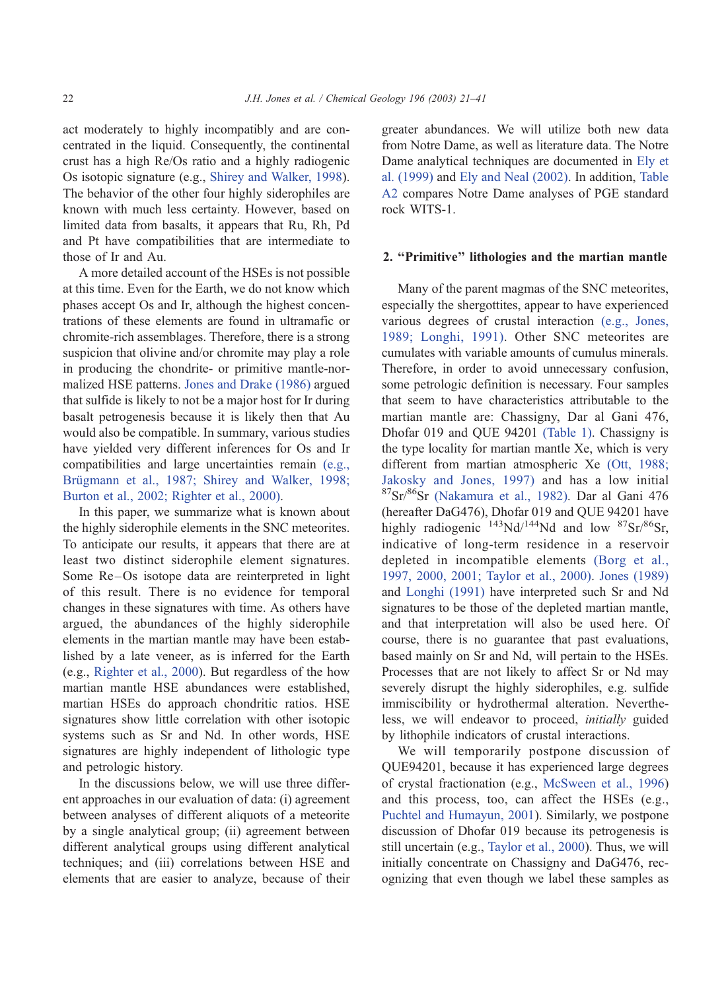act moderately to highly incompatibly and are concentrated in the liquid. Consequently, the continental crust has a high Re/Os ratio and a highly radiogenic Os isotopic signature (e.g., [Shirey and Walker, 1998\)](#page-20-0). The behavior of the other four highly siderophiles are known with much less certainty. However, based on limited data from basalts, it appears that Ru, Rh, Pd and Pt have compatibilities that are intermediate to those of Ir and Au.

A more detailed account of the HSEs is not possible at this time. Even for the Earth, we do not know which phases accept Os and Ir, although the highest concentrations of these elements are found in ultramafic or chromite-rich assemblages. Therefore, there is a strong suspicion that olivine and/or chromite may play a role in producing the chondrite- or primitive mantle-normalized HSE patterns. [Jones and Drake \(1986\)](#page-20-0) argued that sulfide is likely to not be a major host for Ir during basalt petrogenesis because it is likely then that Au would also be compatible. In summary, various studies have yielded very different inferences for Os and Ir compatibilities and large uncertainties remain [\(e.g.,](#page-19-0) Brügmann et al., 1987; Shirey and Walker, 1998; Burton et al., 2002; Righter et al., 2000).

In this paper, we summarize what is known about the highly siderophile elements in the SNC meteorites. To anticipate our results, it appears that there are at least two distinct siderophile element signatures. Some Re-Os isotope data are reinterpreted in light of this result. There is no evidence for temporal changes in these signatures with time. As others have argued, the abundances of the highly siderophile elements in the martian mantle may have been established by a late veneer, as is inferred for the Earth (e.g., [Righter et al., 2000\)](#page-20-0). But regardless of the how martian mantle HSE abundances were established, martian HSEs do approach chondritic ratios. HSE signatures show little correlation with other isotopic systems such as Sr and Nd. In other words, HSE signatures are highly independent of lithologic type and petrologic history.

In the discussions below, we will use three different approaches in our evaluation of data: (i) agreement between analyses of different aliquots of a meteorite by a single analytical group; (ii) agreement between different analytical groups using different analytical techniques; and (iii) correlations between HSE and elements that are easier to analyze, because of their greater abundances. We will utilize both new data from Notre Dame, as well as literature data. The Notre Dame analytical techniques are documented in [Ely et](#page-19-0) al. (1999) and [Ely and Neal \(2002\).](#page-19-0) In addition, [Table](#page-19-0) A2 compares Notre Dame analyses of PGE standard rock WITS-1.

#### 2. ''Primitive'' lithologies and the martian mantle

Many of the parent magmas of the SNC meteorites, especially the shergottites, appear to have experienced various degrees of crustal interaction [\(e.g., Jones,](#page-19-0) 1989; Longhi, 1991). Other SNC meteorites are cumulates with variable amounts of cumulus minerals. Therefore, in order to avoid unnecessary confusion, some petrologic definition is necessary. Four samples that seem to have characteristics attributable to the martian mantle are: Chassigny, Dar al Gani 476, Dhofar 019 and QUE 94201 [\(Table 1\).](#page-2-0) Chassigny is the type locality for martian mantle Xe, which is very [different from martian atmospheric Xe](#page-19-0) [\(Ott, 1988;](#page-20-0) Jakosky and Jones, 1997) and has a low initial 87Sr/86Sr [\(Nakamura et al., 1982\).](#page-20-0) Dar al Gani 476 (hereafter DaG476), Dhofar 019 and QUE 94201 have highly radiogenic  $143\text{Nd}/144\text{Nd}$  and low  $87\text{Sr}/86\text{Sr}$ , indicative of long-term residence in a reservoir depleted in incompatible elements [\(Borg et al.,](#page-19-0) 1997, 2000, 2001; Taylor et al., 2000). [Jones \(1989\)](#page-19-0) and [Longhi \(1991\)](#page-20-0) have interpreted such Sr and Nd signatures to be those of the depleted martian mantle, and that interpretation will also be used here. Of course, there is no guarantee that past evaluations, based mainly on Sr and Nd, will pertain to the HSEs. Processes that are not likely to affect Sr or Nd may severely disrupt the highly siderophiles, e.g. sulfide immiscibility or hydrothermal alteration. Nevertheless, we will endeavor to proceed, initially guided by lithophile indicators of crustal interactions.

We will temporarily postpone discussion of QUE94201, because it has experienced large degrees of crystal fractionation (e.g., [McSween et al., 1996\)](#page-20-0) and this process, too, can affect the HSEs (e.g., [Puchtel and Humayun, 2001\)](#page-20-0). Similarly, we postpone discussion of Dhofar 019 because its petrogenesis is still uncertain (e.g., [Taylor et al., 2000\)](#page-20-0). Thus, we will initially concentrate on Chassigny and DaG476, recognizing that even though we label these samples as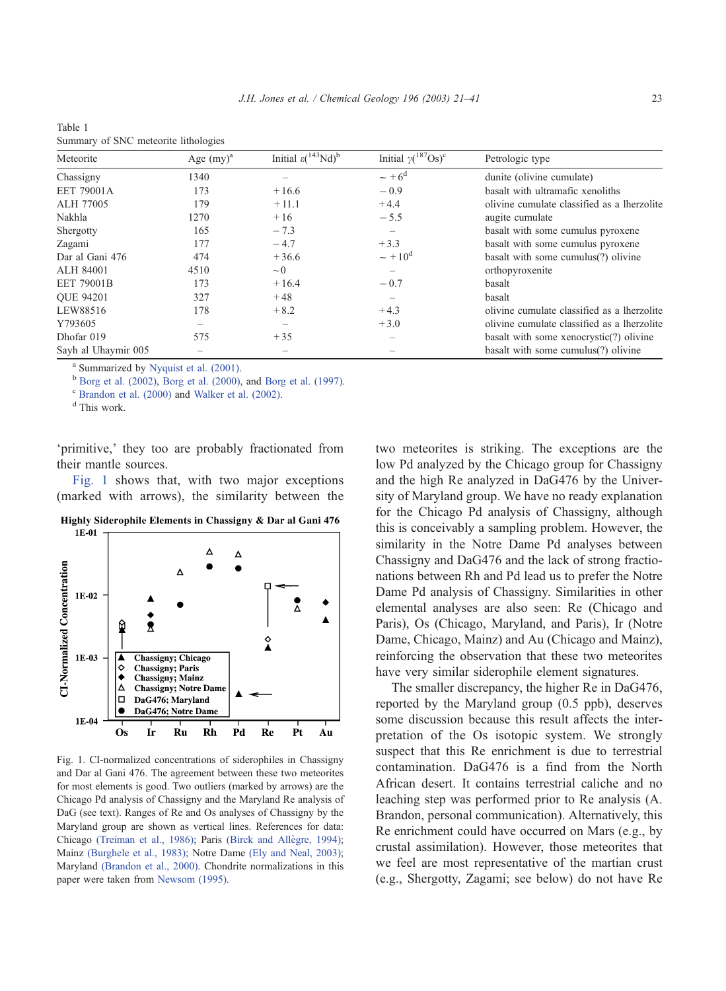| Meteorite           | Age $(my)^a$ | Initial $\varepsilon(^{143}Nd)^b$ | Initial $\gamma(^{187}Os)^c$ | Petrologic type                             |  |  |  |
|---------------------|--------------|-----------------------------------|------------------------------|---------------------------------------------|--|--|--|
| Chassigny           | 1340         |                                   | $\sim +6^{\rm d}$            | dunite (olivine cumulate)                   |  |  |  |
| <b>EET 79001A</b>   | 173          | $+16.6$                           | $-0.9$                       | basalt with ultramafic xenoliths            |  |  |  |
| ALH 77005           | 179          | $+11.1$                           | $+4.4$                       | olivine cumulate classified as a lherzolite |  |  |  |
| Nakhla              | 1270         | $+16$                             | $-5.5$                       | augite cumulate                             |  |  |  |
| Shergotty           | 165          | $-7.3$                            | $\overline{\phantom{0}}$     | basalt with some cumulus pyroxene           |  |  |  |
| Zagami              | 177          | $-4.7$                            | $+3.3$                       | basalt with some cumulus pyroxene           |  |  |  |
| Dar al Gani 476     | 474          | $+36.6$                           | $\sim +10^{\rm d}$           | basalt with some cumulus(?) olivine         |  |  |  |
| ALH 84001           | 4510         | $\sim$ 0                          | -                            | orthopyroxenite                             |  |  |  |
| <b>EET 79001B</b>   | 173          | $+16.4$                           | $-0.7$                       | basalt                                      |  |  |  |
| <b>OUE 94201</b>    | 327          | $+48$                             |                              | basalt                                      |  |  |  |
| LEW88516            | 178          | $+8.2$                            | $+4.3$                       | olivine cumulate classified as a lherzolite |  |  |  |
| Y793605             |              |                                   | $+3.0$                       | olivine cumulate classified as a lherzolite |  |  |  |
| Dhofar 019          | 575          | $+35$                             |                              | basalt with some xenocrystic(?) olivine     |  |  |  |
| Sayh al Uhaymir 005 |              |                                   |                              | basalt with some cumulus(?) olivine         |  |  |  |

<span id="page-2-0"></span>Table 1 Summary of SNC meteorite lithologies

<sup>a</sup> Summarized by [Nyquist et al. \(2001\).](#page-20-0)<br><sup>b</sup> Borg et al. (2002), [Borg et al. \(2000\), and](#page-19-0) Borg et al. (1997).<br><sup>c</sup> [Brandon et al. \(2000\)](#page-19-0) and Walker et al. (2002).

<sup>d</sup> This work.

'primitive,' they too are probably fractionated from their mantle sources.

Fig. 1 shows that, with two major exceptions (marked with arrows), the similarity between the





Fig. 1. CI-normalized concentrations of siderophiles in Chassigny and Dar al Gani 476. The agreement between these two meteorites for most elements is good. Two outliers (marked by arrows) are the Chicago Pd analysis of Chassigny and the Maryland Re analysis of DaG (see text). Ranges of Re and Os analyses of Chassigny by the Maryland group are shown as vertical lines. References for data: Chicago [\(Treiman et al., 1986\);](#page-20-0) Paris (Birck and Allègre, 1994); Mainz [\(Burghele et al., 1983\);](#page-19-0) Notre Dame [\(Ely and Neal, 2003\);](#page-19-0) Maryland [\(Brandon et al., 2000\).](#page-19-0) Chondrite normalizations in this paper were taken from [Newsom \(1995\).](#page-20-0)

two meteorites is striking. The exceptions are the low Pd analyzed by the Chicago group for Chassigny and the high Re analyzed in DaG476 by the University of Maryland group. We have no ready explanation for the Chicago Pd analysis of Chassigny, although this is conceivably a sampling problem. However, the similarity in the Notre Dame Pd analyses between Chassigny and DaG476 and the lack of strong fractionations between Rh and Pd lead us to prefer the Notre Dame Pd analysis of Chassigny. Similarities in other elemental analyses are also seen: Re (Chicago and Paris), Os (Chicago, Maryland, and Paris), Ir (Notre Dame, Chicago, Mainz) and Au (Chicago and Mainz), reinforcing the observation that these two meteorites have very similar siderophile element signatures.

The smaller discrepancy, the higher Re in DaG476, reported by the Maryland group (0.5 ppb), deserves some discussion because this result affects the interpretation of the Os isotopic system. We strongly suspect that this Re enrichment is due to terrestrial contamination. DaG476 is a find from the North African desert. It contains terrestrial caliche and no leaching step was performed prior to Re analysis (A. Brandon, personal communication). Alternatively, this Re enrichment could have occurred on Mars (e.g., by crustal assimilation). However, those meteorites that we feel are most representative of the martian crust (e.g., Shergotty, Zagami; see below) do not have Re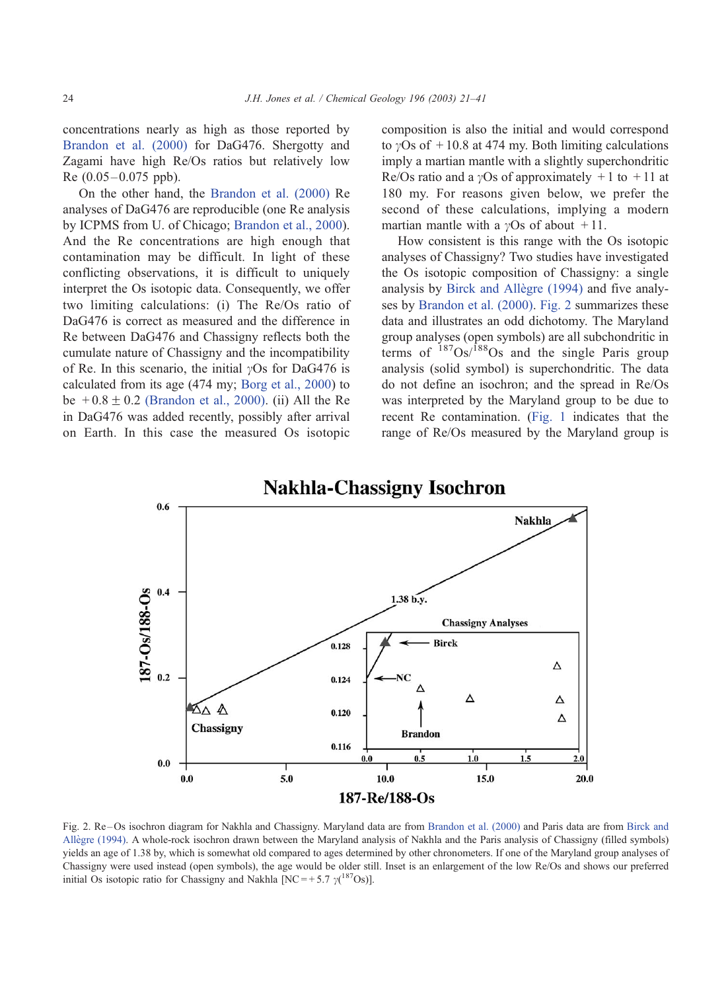concentrations nearly as high as those reported by [Brandon et al. \(2000\)](#page-19-0) for DaG476. Shergotty and Zagami have high Re/Os ratios but relatively low  $Re (0.05 - 0.075$  ppb).

On the other hand, the [Brandon et al. \(2000\)](#page-19-0) Re analyses of DaG476 are reproducible (one Re analysis by ICPMS from U. of Chicago; [Brandon et al., 2000\)](#page-19-0). And the Re concentrations are high enough that contamination may be difficult. In light of these conflicting observations, it is difficult to uniquely interpret the Os isotopic data. Consequently, we offer two limiting calculations: (i) The Re/Os ratio of DaG476 is correct as measured and the difference in Re between DaG476 and Chassigny reflects both the cumulate nature of Chassigny and the incompatibility of Re. In this scenario, the initial  $\gamma$ Os for DaG476 is calculated from its age (474 my; [Borg et al., 2000\)](#page-19-0) to be  $+0.8 \pm 0.2$  [\(Brandon et al., 2000\).](#page-19-0) (ii) All the Re in DaG476 was added recently, possibly after arrival on Earth. In this case the measured Os isotopic composition is also the initial and would correspond to  $\gamma$ Os of + 10.8 at 474 my. Both limiting calculations imply a martian mantle with a slightly superchondritic Re/Os ratio and a  $\gamma$ Os of approximately + 1 to + 11 at 180 my. For reasons given below, we prefer the second of these calculations, implying a modern martian mantle with a  $\gamma$ Os of about + 11.

How consistent is this range with the Os isotopic analyses of Chassigny? Two studies have investigated the Os isotopic composition of Chassigny: a single analysis by Birck and Allègre (1994) and five analyses by [Brandon et al. \(2000\).](#page-19-0) Fig. 2 summarizes these data and illustrates an odd dichotomy. The Maryland group analyses (open symbols) are all subchondritic in terms of  $187\text{Os}/188\text{Os}$  and the single Paris group analysis (solid symbol) is superchondritic. The data do not define an isochron; and the spread in Re/Os was interpreted by the Maryland group to be due to recent Re contamination. ([Fig. 1](#page-2-0) indicates that the range of Re/Os measured by the Maryland group is



# **Nakhla-Chassigny Isochron**

Fig. 2. Re –Os isochron diagram for Nakhla and Chassigny. Maryland data are from [Brandon et al. \(2000\)](#page-19-0) and Paris data are from [Birck and](#page-19-0) Allègre (1994). A whole-rock isochron drawn between the Maryland analysis of Nakhla and the Paris analysis of Chassigny (filled symbols) yields an age of 1.38 by, which is somewhat old compared to ages determined by other chronometers. If one of the Maryland group analyses of Chassigny were used instead (open symbols), the age would be older still. Inset is an enlargement of the low Re/Os and shows our preferred initial Os isotopic ratio for Chassigny and Nakhla [NC = +5.7  $\gamma(^{187}Os$ ].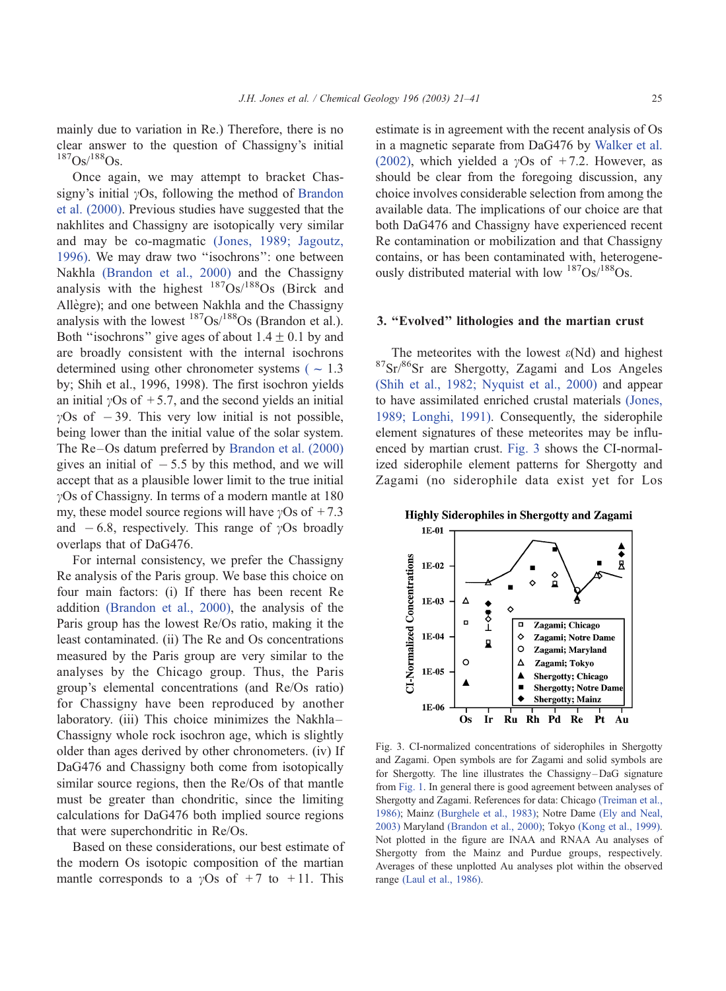<span id="page-4-0"></span>mainly due to variation in Re.) Therefore, there is no clear answer to the question of Chassigny's initial  $187Os/188Os.$ 

Once again, we may attempt to bracket Chassigny's initial  $\gamma$ Os, following the method of [Brandon](#page-19-0) et al. (2000). Previous studies have suggested that the nakhlites and Chassigny are isotopically very similar and may be co-magmatic [\(Jones, 1989; Jagoutz,](#page-19-0) 1996). We may draw two ''isochrons'': one between Nakhla [\(Brandon et al., 2000\)](#page-19-0) and the Chassigny analysis with the highest  $187Os/188Os$  (Birck and Allègre); and one between Nakhla and the Chassigny analysis with the lowest  $187Os/188Os$  (Brandon et al.). Both "isochrons" give ages of about  $1.4 \pm 0.1$  by and are broadly consistent with the internal isochrons determined using other chronometer systems ( $\sim 1.3$  $\sim 1.3$ ) by; Shih et al., 1996, 1998). The first isochron yields an initial  $\gamma$ Os of + 5.7, and the second yields an initial  $\gamma$ Os of  $-39$ . This very low initial is not possible, being lower than the initial value of the solar system. The Re–Os datum preferred by [Brandon et al. \(2000\)](#page-19-0) gives an initial of  $-5.5$  by this method, and we will accept that as a plausible lower limit to the true initial  $\gamma$ Os of Chassigny. In terms of a modern mantle at 180 my, these model source regions will have  $\gamma$ Os of +7.3 and  $-6.8$ , respectively. This range of  $\gamma$ Os broadly overlaps that of DaG476.

For internal consistency, we prefer the Chassigny Re analysis of the Paris group. We base this choice on four main factors: (i) If there has been recent Re addition [\(Brandon et al., 2000\),](#page-19-0) the analysis of the Paris group has the lowest Re/Os ratio, making it the least contaminated. (ii) The Re and Os concentrations measured by the Paris group are very similar to the analyses by the Chicago group. Thus, the Paris group's elemental concentrations (and Re/Os ratio) for Chassigny have been reproduced by another laboratory. (iii) This choice minimizes the Nakhla-Chassigny whole rock isochron age, which is slightly older than ages derived by other chronometers. (iv) If DaG476 and Chassigny both come from isotopically similar source regions, then the Re/Os of that mantle must be greater than chondritic, since the limiting calculations for DaG476 both implied source regions that were superchondritic in Re/Os.

Based on these considerations, our best estimate of the modern Os isotopic composition of the martian mantle corresponds to a  $\gamma$ Os of +7 to +11. This

estimate is in agreement with the recent analysis of Os in a magnetic separate from DaG476 by [Walker et al.](#page-20-0) (2002), which yielded a  $\gamma$ Os of +7.2. However, as should be clear from the foregoing discussion, any [choice involves considerable selection from among the](#page-19-0) available data. The implications of our choice are that both DaG476 and Chassigny have experienced recent [Re contamination or mobilization and that Chassigny](#page-19-0) contains, or has been contaminated with, heterogeneously distributed material with low  $187Os/188Os$ .

#### 3. ''Evolved'' lithologies and the martian crust

The meteorites with the lowest  $\varepsilon(Nd)$  and highest [87Sr/86Sr are Shergotty, Zagami and Los Angeles](#page-20-0) [\(Shih et al., 1982; Nyquist et al., 2000\)](#page-20-0) and appear to have assimilated enriched crustal materials [\(Jones,](#page-19-0) 1989; Longhi, 1991). Consequently, the siderophile element signatures of these meteorites may be influenced by martian crust. Fig. 3 shows the CI-normalized siderophile element patterns for Shergotty and Zagami (no siderophile data exist yet for Los



Fig. 3. CI-normalized concentrations of siderophiles in Shergotty and Zagami. Open symbols are for Zagami and solid symbols are for Shergotty. The line illustrates the Chassigny – DaG signature from [Fig. 1.](#page-2-0) In general there is good agreement between analyses of Shergotty and Zagami. References for data: Chicago [\(Treiman et al.,](#page-20-0) 1986); Mainz [\(Burghele et al., 1983\);](#page-19-0) Notre Dame [\(Ely and Neal,](#page-19-0) 2003) Maryland [\(Brandon et al., 2000\);](#page-19-0) Tokyo [\(Kong et al., 1999\).](#page-20-0) Not plotted in the figure are INAA and RNAA Au analyses of Shergotty from the Mainz and Purdue groups, respectively. Averages of these unplotted Au analyses plot within the observed range [\(Laul et al., 1986\).](#page-20-0)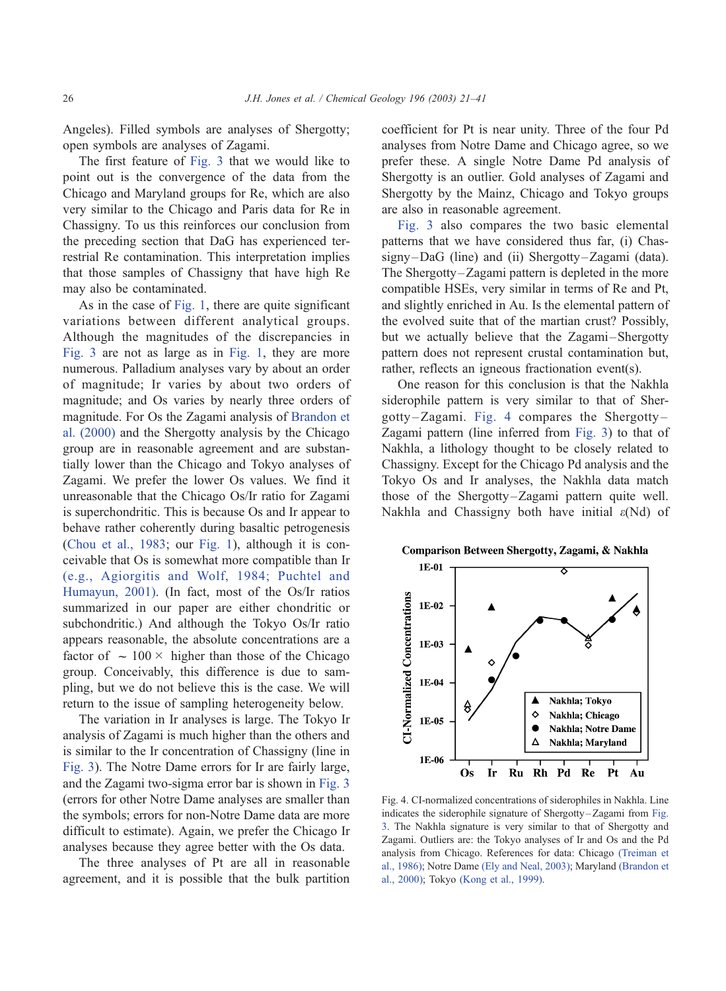<span id="page-5-0"></span>Angeles). Filled symbols are analyses of Shergotty; open symbols are analyses of Zagami.

The first feature of [Fig. 3](#page-4-0) that we would like to point out is the convergence of the data from the Chicago and Maryland groups for Re, which are also very similar to the Chicago and Paris data for Re in Chassigny. To us this reinforces our conclusion from the preceding section that DaG has experienced terrestrial Re contamination. This interpretation implies that those samples of Chassigny that have high Re may also be contaminated.

As in the case of [Fig. 1,](#page-2-0) there are quite significant variations between different analytical groups. Although the magnitudes of the discrepancies in [Fig. 3](#page-4-0) are not as large as in [Fig. 1,](#page-2-0) they are more numerous. Palladium analyses vary by about an order of magnitude; Ir varies by about two orders of magnitude; and Os varies by nearly three orders of magnitude. For Os the Zagami analysis of [Brandon et](#page-19-0) al. (2000) and the Shergotty analysis by the Chicago group are in reasonable agreement and are substantially lower than the Chicago and Tokyo analyses of Zagami. We prefer the lower Os values. We find it unreasonable that the Chicago Os/Ir ratio for Zagami is superchondritic. This is because Os and Ir appear to behave rather coherently during basaltic petrogenesis ([Chou et al., 1983;](#page-19-0) our [Fig. 1\)](#page-2-0), although it is conceivable that Os is somewhat more compatible than Ir [\(e.g., Agiorgitis and Wolf, 1984; Puchtel and](#page-19-0) Humayun, 2001). (In fact, most of the Os/Ir ratios summarized in our paper are either chondritic or subchondritic.) And although the Tokyo Os/Ir ratio appears reasonable, the absolute concentrations are a factor of  $\sim 100 \times$  higher than those of the Chicago group. Conceivably, this difference is due to sampling, but we do not believe this is the case. We will return to the issue of sampling heterogeneity below.

The variation in Ir analyses is large. The Tokyo Ir analysis of Zagami is much higher than the others and is similar to the Ir concentration of Chassigny (line in [Fig. 3\)](#page-4-0). The Notre Dame errors for Ir are fairly large, and the Zagami two-sigma error bar is shown in [Fig. 3](#page-4-0) (errors for other Notre Dame analyses are smaller than the symbols; errors for non-Notre Dame data are more difficult to estimate). Again, we prefer the Chicago Ir analyses because they agree better with the Os data.

The three analyses of Pt are all in reasonable agreement, and it is possible that the bulk partition coefficient for Pt is near unity. Three of the four Pd analyses from Notre Dame and Chicago agree, so we prefer these. A single Notre Dame Pd analysis of Shergotty is an outlier. Gold analyses of Zagami and Shergotty by the Mainz, Chicago and Tokyo groups are also in reasonable agreement.

[Fig. 3](#page-4-0) also compares the two basic elemental patterns that we have considered thus far, (i) Chassigny-DaG (line) and (ii) Shergotty-Zagami (data). The Shergotty –Zagami pattern is depleted in the more compatible HSEs, very similar in terms of Re and Pt, and slightly enriched in Au. Is the elemental pattern of the evolved suite that of the martian crust? Possibly, but we actually believe that the Zagami-Shergotty pattern does not represent crustal contamination but, rather, reflects an igneous fractionation event(s).

One reason for this conclusion is that the Nakhla siderophile pattern is very similar to that of Shergotty –Zagami. Fig. 4 [compares the Shergotty –](#page-19-0) Zagami pattern (line inferred from [Fig. 3\)](#page-4-0) to that of Nakhla, a lithology thought to be closely related to Chassigny. Except for the Chicago Pd analysis and the Tokyo Os and Ir analyses, the Nakhla data match those of the Shergotty –Zagami pattern quite well. Nakhla and Chassigny both have initial  $\varepsilon(Nd)$  of

Comparison Between Shergotty, Zagami, & Nakhla



Fig. 4. CI-normalized concentrations of siderophiles in Nakhla. Line indicates the siderophile signature of Shergotty – Zagami from [Fig.](#page-4-0) 3. The Nakhla signature is very similar to that of Shergotty and Zagami. Outliers are: the Tokyo analyses of Ir and Os and the Pd analysis from Chicago. References for data: Chicago [\(Treiman et](#page-20-0) al., 1986); Notre Dame [\(Ely and Neal, 2003\);](#page-19-0) Maryland [\(Brandon et](#page-19-0) al., 2000); Tokyo [\(Kong et al., 1999\).](#page-20-0)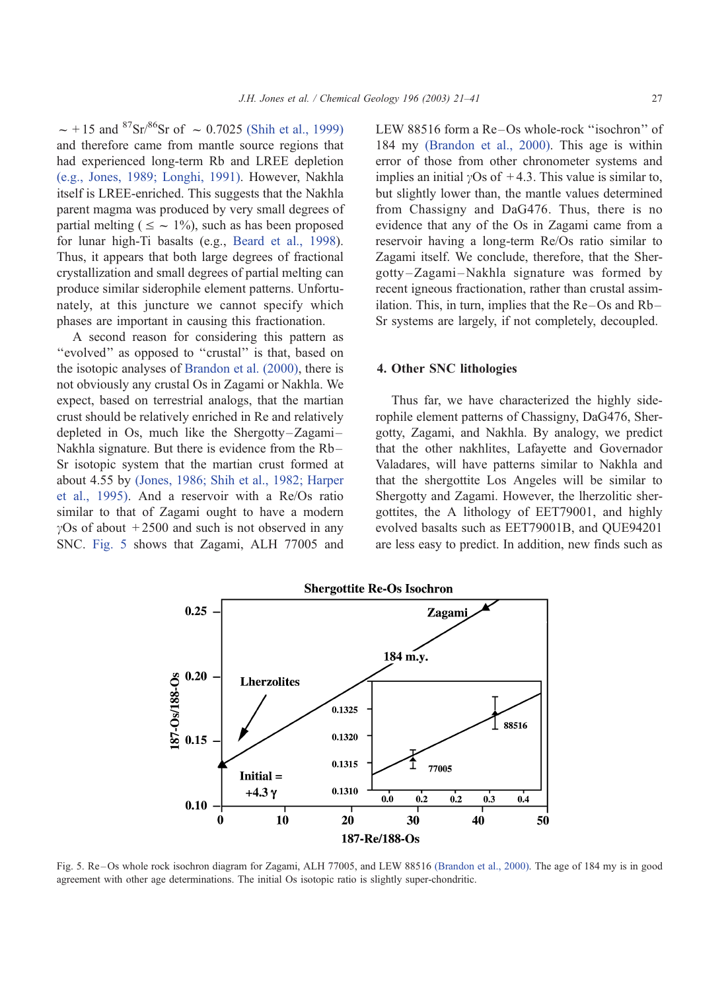$\sim$  +15 and <sup>87</sup>Sr/<sup>86</sup>Sr of  $\sim$  0.7025 [\(Shih et al., 1999\)](#page-20-0) and therefore came from mantle source regions that had experienced long-term Rb and LREE depletion [\(e.g., Jones, 1989; Longhi, 1991\).](#page-19-0) However, Nakhla itself is LREE-enriched. This suggests that the Nakhla parent magma was produced by very small degrees of partial melting ( $\leq$   $\sim$  1%), such as has been proposed for lunar high-Ti basalts (e.g., [Beard et al., 1998\)](#page-19-0). Thus, it appears that both large degrees of fractional crystallization and small degrees of partial melting can produce similar siderophile element patterns. Unfortunately, at this juncture we cannot specify which phases are important in causing this fractionation.

A second reason for considering this pattern as "evolved" as opposed to "crustal" is that, based on the isotopic analyses of [Brandon et al. \(2000\),](#page-19-0) there is not obviously any crustal Os in Zagami or Nakhla. We expect, based on terrestrial analogs, that the martian crust should be relatively enriched in Re and relatively depleted in Os, much like the Shergotty–Zagami – Nakhla signature. But there is evidence from the Rb – Sr isotopic system that the martian crust formed at about 4.55 by [\(Jones, 1986; Shih et al., 1982; Harper](#page-19-0) et al., 1995). And a reservoir with a Re/Os ratio similar to that of Zagami ought to have a modern  $\gamma$ Os of about + 2500 and such is not observed in any SNC. Fig. 5 shows that Zagami, ALH 77005 and

LEW 88516 form a Re-Os whole-rock "isochron" of 184 my [\(Brandon et al., 2000\).](#page-19-0) This age is within error of those from other chronometer systems and implies an initial  $\gamma$ Os of +4.3. This value is similar to, but slightly lower than, the mantle values determined from Chassigny and DaG476. Thus, there is no evidence that any of the Os in Zagami came from a reservoir having a long-term Re/Os ratio similar to Zagami itself. We conclude, therefore, that the Shergotty –Zagami –Nakhla signature was formed by recent igneous fractionation, rather than crustal assimilation. This, in turn, implies that the  $Re-Os$  and  $Rb-$ Sr systems are largely, if not completely, decoupled.

### 4. Other SNC lithologies

Thus far, we have characterized the highly siderophile element patterns of Chassigny, DaG476, Shergotty, Zagami, and Nakhla. By analogy, we predict that the other nakhlites, Lafayette and Governador Valadares, will have patterns similar to Nakhla and [that the shergottite Los Angeles will be similar to](#page-19-0) Shergotty and Zagami. However, the lherzolitic shergottites, the A lithology of EET79001, and highly evolved basalts such as EET79001B, and QUE94201 are less easy to predict. In addition, new finds such as



Fig. 5. Re – Os whole rock isochron diagram for Zagami, ALH 77005, and LEW 88516 [\(Brandon et al., 2000\).](#page-19-0) The age of 184 my is in good agreement with other age determinations. The initial Os isotopic ratio is slightly super-chondritic.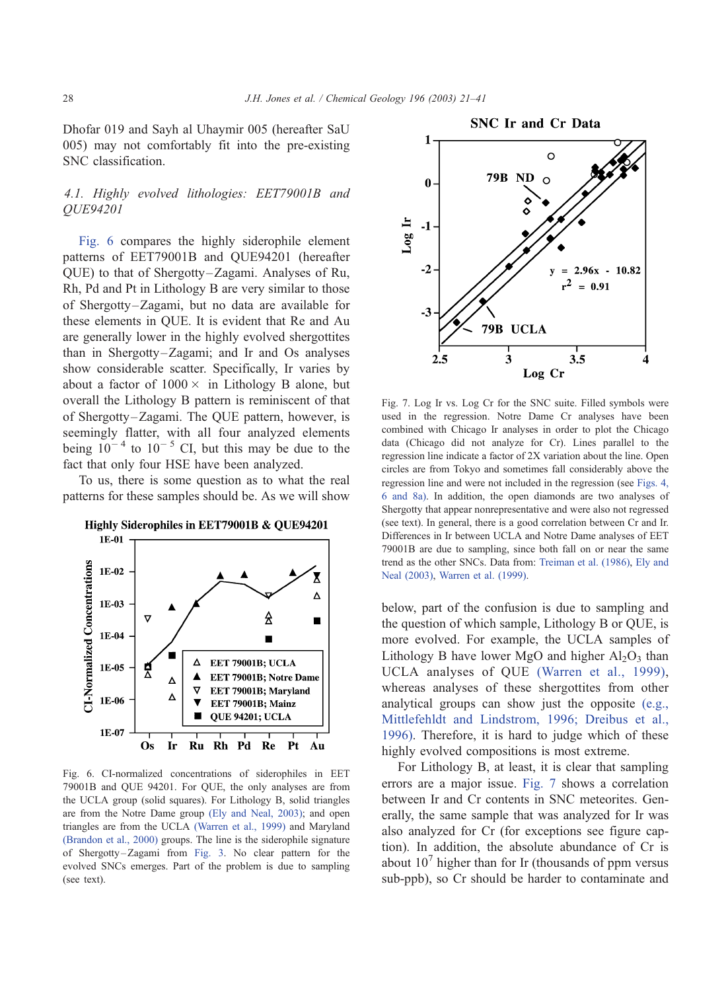<span id="page-7-0"></span>Dhofar 019 and Sayh al Uhaymir 005 (hereafter SaU 005) may not comfortably fit into the pre-existing SNC classification.

# 4.1. Highly evolved lithologies: EET79001B and QUE94201

Fig. 6 compares the highly siderophile element patterns of EET79001B and QUE94201 (hereafter QUE) to that of Shergotty–Zagami. Analyses of Ru, Rh, Pd and Pt in Lithology B are very similar to those of Shergotty–Zagami, but no data are available for these elements in QUE. It is evident that Re and Au are generally lower in the highly evolved shergottites than in Shergotty–Zagami; and Ir and Os analyses show considerable scatter. Specifically, Ir varies by about a factor of  $1000 \times$  in Lithology B alone, but overall the Lithology B pattern is reminiscent of that of Shergotty–Zagami. The QUE pattern, however, is seemingly flatter, with all four analyzed elements being  $10^{-4}$  to  $10^{-5}$  CI, but this may be due to the fact that only four HSE have been analyzed.

To us, there is some question as to what the real patterns for these samples should be. As we will show



Fig. 6. CI-normalized concentrations of siderophiles in EET 79001B and QUE 94201. For QUE, the only analyses are from the UCLA group (solid squares). For Lithology B, solid triangles are from the Notre Dame group [\(Ely and Neal, 2003\);](#page-19-0) and open triangles are from the UCLA [\(Warren et al., 1999\)](#page-20-0) and Maryland [\(Brandon et al., 2000\)](#page-19-0) groups. The line is the siderophile signature of Shergotty –Zagami from [Fig. 3.](#page-4-0) No clear pattern for the evolved SNCs emerges. Part of the problem is due to sampling (see text).



Fig. 7. Log Ir vs. Log Cr for the SNC suite. Filled symbols were used in the regression. Notre Dame Cr analyses have been combined with Chicago Ir analyses in order to plot the Chicago data (Chicago did not analyze for Cr). Lines parallel to the regression line indicate a factor of 2X variation about the line. Open circles are from Tokyo and sometimes fall considerably above the regression line and were not included in the regression (see [Figs. 4,](#page-5-0) 6 and 8a). In addition, the open diamonds are two analyses of Shergotty that appear nonrepresentative and were also not regressed (see text). In general, there is a good correlation between Cr and Ir. Differences in Ir between UCLA and Notre Dame analyses of EET 79001B are due to sampling, since both fall on or near the same trend as the other SNCs. Data from: [Treiman et al. \(1986\),](#page-20-0) [Ely and](#page-19-0) Neal (2003), [Warren et al. \(1999\).](#page-20-0)

below, part of the confusion is due to sampling and the question of which sample, Lithology B or QUE, is more evolved. For example, the UCLA samples of Lithology B have lower MgO and higher  $Al_2O_3$  than UCLA analyses of QUE [\(Warren et al., 1999\),](#page-20-0) whereas analyses of these shergottites from other analytical groups can show just the opposite [\(e.g.,](#page-20-0) Mittlefehldt and Lindstrom, 1996; Dreibus et al., 1996). Therefore, it is hard to judge which of these highly evolved compositions is most extreme.

For Lithology B, at least, it is clear that sampling errors are a major issue. Fig. 7 shows a correlation between Ir and Cr contents in SNC meteorites. Generally, the same sample that was analyzed for Ir was also analyzed for Cr (for exceptions see figure caption). In addition, the absolute abundance of Cr is about  $10<sup>7</sup>$  higher than for Ir (thousands of ppm versus sub-ppb), so Cr should be harder to contaminate and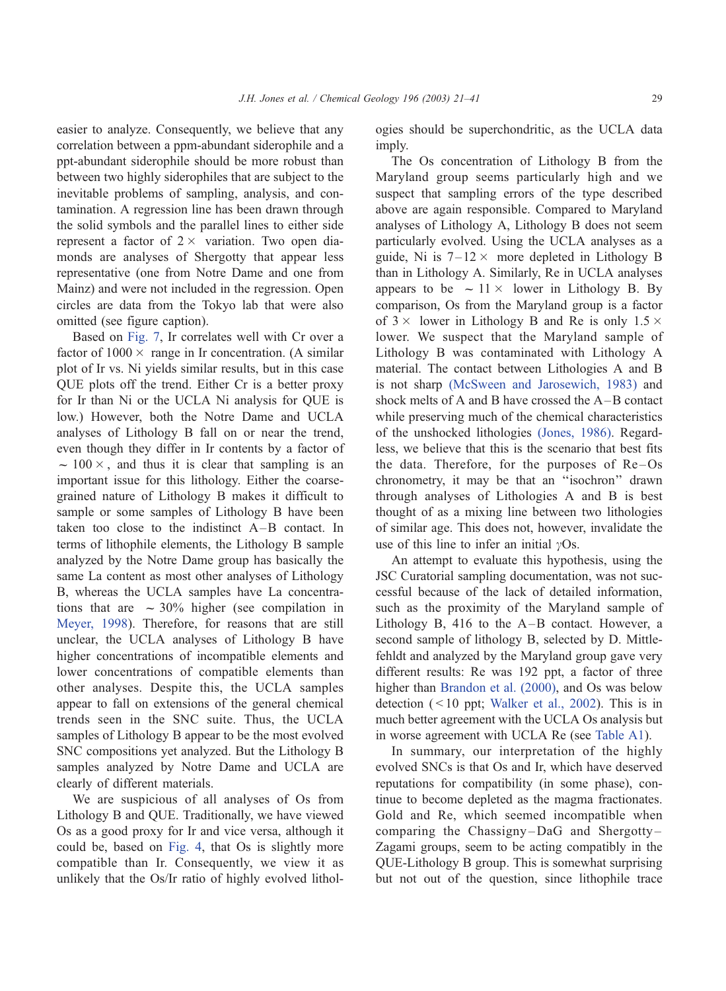easier to analyze. Consequently, we believe that any correlation between a ppm-abundant siderophile and a ppt-abundant siderophile should be more robust than between two highly siderophiles that are subject to the inevitable problems of sampling, analysis, and contamination. A regression line has been drawn through the solid symbols and the parallel lines to either side represent a factor of  $2 \times$  variation. Two open diamonds are analyses of Shergotty that appear less representative (one from Notre Dame and one from Mainz) and were not included in the regression. Open circles are data from the Tokyo lab that were also omitted (see figure caption).

Based on [Fig. 7,](#page-7-0) Ir correlates well with Cr over a factor of  $1000 \times$  range in Ir concentration. (A similar plot of Ir vs. Ni yields similar results, but in this case QUE plots off the trend. Either Cr is a better proxy for Ir than Ni or the UCLA Ni analysis for QUE is low.) However, both the Notre Dame and UCLA analyses of Lithology B fall on or near the trend, even though they differ in Ir contents by a factor of  $\sim 100 \times$ , and thus it is clear that sampling is an important issue for this lithology. Either the coarsegrained nature of Lithology B makes it difficult to sample or some samples of Lithology B have been taken too close to the indistinct A-B contact. In terms of lithophile elements, the Lithology B sample analyzed by the Notre Dame group has basically the same La content as most other analyses of Lithology B, whereas the UCLA samples have La concentrations that are  $\sim 30\%$  higher (see compilation in [Meyer, 1998\)](#page-20-0). Therefore, for reasons that are still unclear, the UCLA analyses of Lithology B have higher concentrations of incompatible elements and lower concentrations of compatible elements than other analyses. Despite this, the UCLA samples appear to fall on extensions of the general chemical trends seen in the SNC suite. Thus, the UCLA samples of Lithology B appear to be the most evolved SNC compositions yet analyzed. But the Lithology B samples analyzed by Notre Dame and UCLA are clearly of different materials.

We are suspicious of all analyses of Os from Lithology B and QUE. Traditionally, we have viewed Os as a good proxy for Ir and vice versa, although it could be, based on [Fig. 4,](#page-5-0) that Os is slightly more compatible than Ir. Consequently, we view it as unlikely that the Os/Ir ratio of highly evolved lithologies should be superchondritic, as the UCLA data imply.

The Os concentration of Lithology B from the Maryland group seems particularly high and we suspect that sampling errors of the type described above are again responsible. Compared to Maryland analyses of Lithology A, Lithology B does not seem particularly evolved. Using the UCLA analyses as a guide, Ni is  $7-12 \times$  more depleted in Lithology B than in Lithology A. Similarly, Re in UCLA analyses appears to be  $\sim 11 \times$  lower in Lithology B. By comparison, Os from the Maryland group is a factor of  $3 \times$  lower in Lithology B and Re is only  $1.5 \times$ lower. We suspect that the Maryland sample of Lithology B was contaminated with Lithology A material. The contact between Lithologies A and B is not sharp [\(McSween and Jarosewich, 1983\)](#page-20-0) and shock melts of A and B have crossed the A–B contact while preserving much of the chemical characteristics of the unshocked lithologies [\(Jones, 1986\).](#page-19-0) Regardless, we believe that this is the scenario that best fits the data. Therefore, for the purposes of  $Re-Os$ chronometry, it may be that an ''isochron'' drawn through analyses of Lithologies A and B is best thought of as a mixing line between two lithologies of similar age. This does not, however, invalidate the use of this line to infer an initial  $\gamma$ Os.

An attempt to evaluate this hypothesis, using the JSC Curatorial sampling documentation, was not successful because of the lack of detailed information, such as the proximity of the Maryland sample of Lithology B,  $416$  to the A-B contact. However, a second sample of lithology B, selected by D. Mittlefehldt and analyzed by the Maryland group gave very different results: Re was 192 ppt, a factor of three higher than [Brandon et al. \(2000\),](#page-19-0) and Os was below detection  $($  < 10 ppt; [Walker et al., 2002\)](#page-20-0). This is in much better agreement with the UCLA Os analysis but in worse agreement with UCLA Re (see [Table A1\)](#page-17-0).

In summary, our interpretation of the highly evolved SNCs is that Os and Ir, which have deserved reputations for compatibility (in some phase), continue to become depleted as the magma fractionates. Gold and Re, which seemed incompatible when comparing the Chassigny –DaG and Shergotty – Zagami groups, seem to be acting compatibly in the QUE-Lithology B group. This is somewhat surprising but not out of the question, since lithophile trace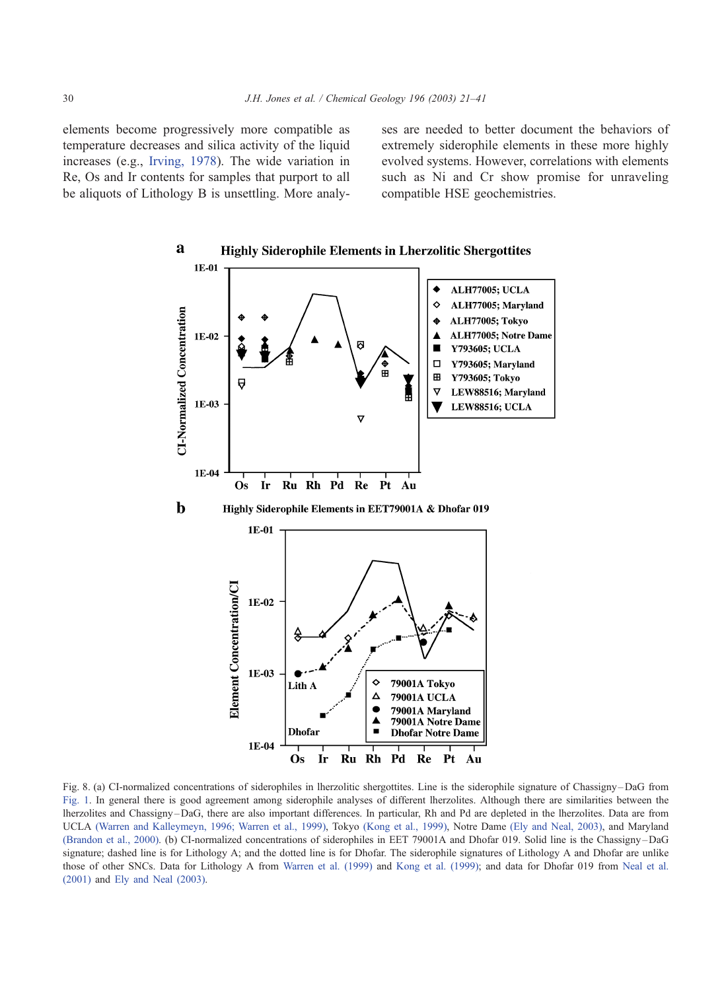<span id="page-9-0"></span>elements become progressively more compatible as temperature decreases and silica activity of the liquid increases (e.g., [Irving, 1978\)](#page-19-0). The wide variation in Re, Os and Ir contents for samples that purport to all be aliquots of Lithology B is unsettling. More analyses are needed to better document the behaviors of extremely siderophile elements in these more highly evolved systems. However, correlations with elements such as Ni and Cr show promise for unraveling compatible HSE geochemistries.



Fig. 8. (a) CI-normalized concentrations of siderophiles in lherzolitic shergottites. Line is the siderophile signature of Chassigny – DaG from [Fig. 1.](#page-2-0) In general there is good agreement among siderophile analyses of different lherzolites. Although there are similarities between the lherzolites and Chassigny – DaG, there are also important differences. In particular, Rh and Pd are depleted in the lherzolites. Data are from UCLA [\(Warren and Kalleymeyn, 1996; Warren et al., 1999\),](#page-20-0) Tokyo [\(Kong et al., 1999\),](#page-20-0) Notre Dame [\(Ely and Neal, 2003\),](#page-19-0) and Maryland [\(Brandon et al., 2000\).](#page-19-0) (b) CI-normalized concentrations of siderophiles in EET 79001A and Dhofar 019. Solid line is the Chassigny –DaG signature; dashed line is for Lithology A; and the dotted line is for Dhofar. The siderophile signatures of Lithology A and Dhofar are unlike those of other SNCs. Data for Lithology A from [Warren et al. \(1999\)](#page-20-0) and [Kong et al. \(1999\);](#page-20-0) and data for Dhofar 019 from [Neal et al.](#page-20-0) (2001) and [Ely and Neal \(2003\).](#page-19-0)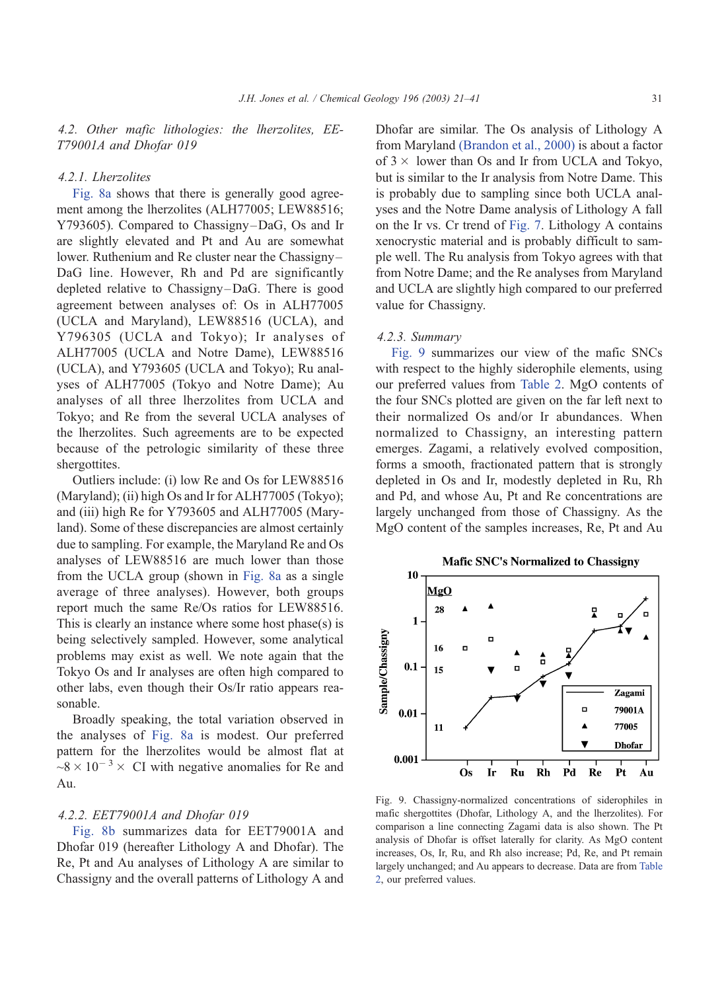<span id="page-10-0"></span>4.2. Other mafic lithologies: the lherzolites, EE-T79001A and Dhofar 019

#### 4.2.1. Lherzolites

[Fig. 8a](#page-9-0) shows that there is generally good agreement among the lherzolites (ALH77005; LEW88516; Y793605). Compared to Chassigny –DaG, Os and Ir are slightly elevated and Pt and Au are somewhat lower. Ruthenium and Re cluster near the Chassigny– DaG line. However, Rh and Pd are significantly depleted relative to Chassigny –DaG. There is good agreement between analyses of: Os in ALH77005 (UCLA and Maryland), LEW88516 (UCLA), and Y796305 (UCLA and Tokyo); Ir analyses of ALH77005 (UCLA and Notre Dame), LEW88516 (UCLA), and Y793605 (UCLA and Tokyo); Ru analyses of ALH77005 (Tokyo and Notre Dame); Au analyses of all three lherzolites from UCLA and Tokyo; and Re from the several UCLA analyses of the lherzolites. Such agreements are to be expected because of the petrologic similarity of these three shergottites.

Outliers include: (i) low Re and Os for LEW88516 (Maryland); (ii) high Os and Ir for ALH77005 (Tokyo); and (iii) high Re for Y793605 and ALH77005 (Maryland). Some of these discrepancies are almost certainly due to sampling. For example, the Maryland Re and Os analyses of LEW88516 are much lower than those from the UCLA group (shown in [Fig. 8a](#page-9-0) as a single average of three analyses). However, both groups report much the same Re/Os ratios for LEW88516. This is clearly an instance where some host phase(s) is being selectively sampled. However, some analytical problems may exist as well. We note again that the Tokyo Os and Ir analyses are often high compared to other labs, even though their Os/Ir ratio appears reasonable.

Broadly speaking, the total variation observed in the analyses of [Fig. 8a](#page-9-0) is modest. Our preferred pattern for the lherzolites would be almost flat at  $-8 \times 10^{-3} \times$  CI with negative anomalies for Re and Au.

### 4.2.2. EET79001A and Dhofar 019

[Fig. 8b](#page-9-0) summarizes data for EET79001A and Dhofar 019 (hereafter Lithology A and Dhofar). The Re, Pt and Au analyses of Lithology A are similar to Chassigny and the overall patterns of Lithology A and Dhofar are similar. The Os analysis of Lithology A from Maryland [\(Brandon et al., 2000\)](#page-19-0) is about a factor of  $3 \times$  lower than Os and Ir from UCLA and Tokyo, but is similar to the Ir analysis from Notre Dame. This is probably due to sampling since both UCLA analyses and the Notre Dame analysis of Lithology A fall on the Ir vs. Cr trend of [Fig. 7.](#page-7-0) Lithology A contains xenocrystic material and is probably difficult to sample well. The Ru analysis from Tokyo agrees with that from Notre Dame; and the Re analyses from Maryland and UCLA are slightly high compared to our preferred value for Chassigny.

# 4.2.3. Summary

Fig. 9 summarizes our view of the mafic SNCs with respect to the highly siderophile elements, using our preferred values from [Table 2.](#page-11-0) MgO contents of the four SNCs plotted are given on the far left next to their normalized Os and/or Ir abundances. When normalized to Chassigny, an interesting pattern emerges. Zagami, a relatively evolved composition, forms a smooth, fractionated pattern that is strongly depleted in Os and Ir, modestly depleted in Ru, Rh and Pd, and whose Au, Pt and Re concentrations are largely unchanged from those of Chassigny. As the MgO content of the samples increases, Re, Pt and Au



Fig. 9. Chassigny-normalized concentrations of siderophiles in mafic shergottites (Dhofar, Lithology A, and the lherzolites). For comparison a line connecting Zagami data is also shown. The Pt analysis of Dhofar is offset laterally for clarity. As MgO content increases, Os, Ir, Ru, and Rh also increase; Pd, Re, and Pt remain largely unchanged; and Au appears to decrease. Data are from [Table](#page-11-0) 2, our preferred values.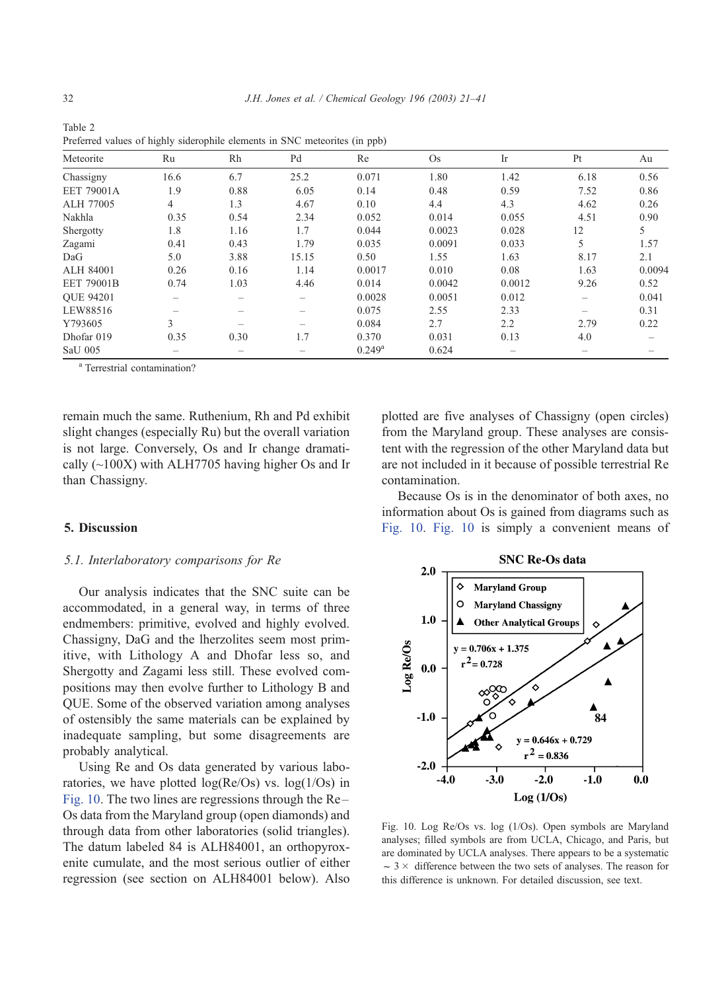| Meteorite         | Ru   | Rh   | Pd    | Re              | <b>Os</b> | Ir      | Pt   | Au     |
|-------------------|------|------|-------|-----------------|-----------|---------|------|--------|
| Chassigny         | 16.6 | 6.7  | 25.2  | 0.071           | 1.80      | 1.42    | 6.18 | 0.56   |
| <b>EET 79001A</b> | 1.9  | 0.88 | 6.05  | 0.14            | 0.48      | 0.59    | 7.52 | 0.86   |
| ALH 77005         | 4    | 1.3  | 4.67  | 0.10            | 4.4       | 4.3     | 4.62 | 0.26   |
| Nakhla            | 0.35 | 0.54 | 2.34  | 0.052           | 0.014     | 0.055   | 4.51 | 0.90   |
| Shergotty         | 1.8  | 1.16 | 1.7   | 0.044           | 0.0023    | 0.028   | 12   | 5      |
| Zagami            | 0.41 | 0.43 | 1.79  | 0.035           | 0.0091    | 0.033   | 5    | 1.57   |
| DaG               | 5.0  | 3.88 | 15.15 | 0.50            | 1.55      | 1.63    | 8.17 | 2.1    |
| ALH 84001         | 0.26 | 0.16 | 1.14  | 0.0017          | 0.010     | 0.08    | 1.63 | 0.0094 |
| <b>EET 79001B</b> | 0.74 | 1.03 | 4.46  | 0.014           | 0.0042    | 0.0012  | 9.26 | 0.52   |
| <b>OUE 94201</b>  |      |      |       | 0.0028          | 0.0051    | 0.012   |      | 0.041  |
| LEW88516          |      |      |       | 0.075           | 2.55      | 2.33    |      | 0.31   |
| Y793605           | 3    |      |       | 0.084           | 2.7       | $2.2\,$ | 2.79 | 0.22   |
| Dhofar 019        | 0.35 | 0.30 | 1.7   | 0.370           | 0.031     | 0.13    | 4.0  |        |
| SaU 005           |      |      |       | $0.249^{\rm a}$ | 0.624     |         |      |        |

Preferred values of highly siderophile elements in SNC meteorites (in ppb)

<sup>a</sup> Terrestrial contamination?

remain much the same. Ruthenium, Rh and Pd exhibit slight changes (especially Ru) but the overall variation is not large. Conversely, Os and Ir change dramatically  $(\sim100X)$  with ALH7705 having higher Os and Ir than Chassigny.

# 5. Discussion

#### 5.1. Interlaboratory comparisons for Re

Our analysis indicates that the SNC suite can be accommodated, in a general way, in terms of three endmembers: primitive, evolved and highly evolved. Chassigny, DaG and the lherzolites seem most primitive, with Lithology A and Dhofar less so, and Shergotty and Zagami less still. These evolved compositions may then evolve further to Lithology B and QUE. Some of the observed variation among analyses of ostensibly the same materials can be explained by inadequate sampling, but some disagreements are probably analytical.

Using Re and Os data generated by various laboratories, we have plotted  $log(Re/Os)$  vs.  $log(1/Os)$  in Fig. 10. The two lines are regressions through the Re – Os data from the Maryland group (open diamonds) and through data from other laboratories (solid triangles). The datum labeled 84 is ALH84001, an orthopyroxenite cumulate, and the most serious outlier of either regression (see section on ALH84001 below). Also plotted are five analyses of Chassigny (open circles) from the Maryland group. These analyses are consistent with the regression of the other Maryland data but are not included in it because of possible terrestrial Re contamination.

Because Os is in the denominator of both axes, no information about Os is gained from diagrams such as Fig. 10. Fig. 10 is simply a convenient means of



Fig. 10. Log Re/Os vs. log (1/Os). Open symbols are Maryland analyses; filled symbols are from UCLA, Chicago, and Paris, but are dominated by UCLA analyses. There appears to be a systematic  $\sim$  3  $\times$  difference between the two sets of analyses. The reason for this difference is unknown. For detailed discussion, see text.

<span id="page-11-0"></span>Table 2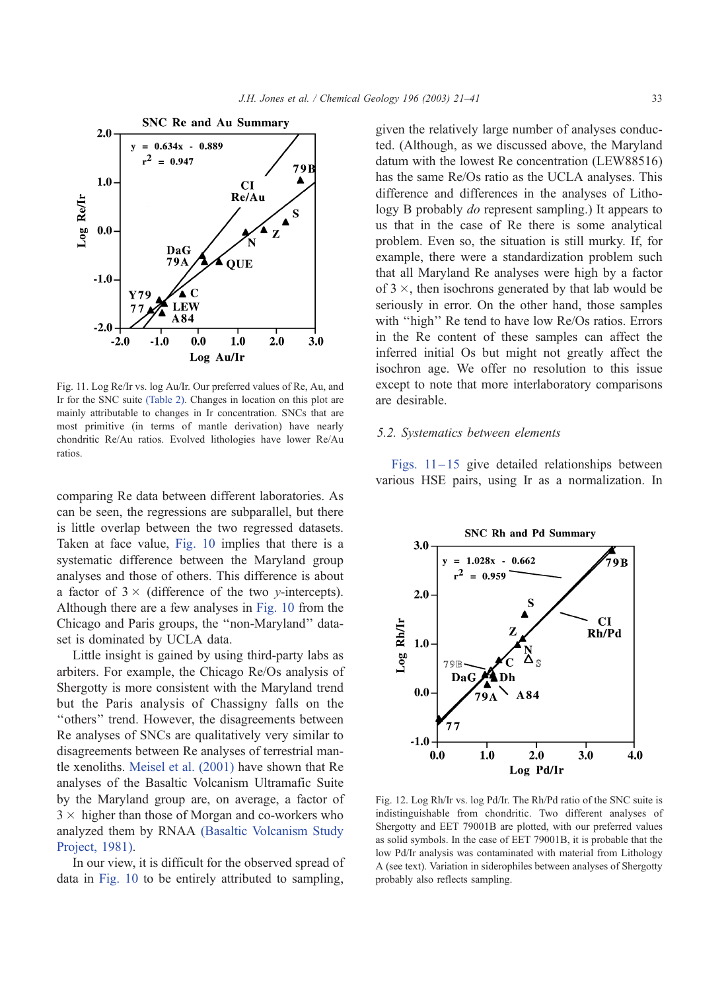<span id="page-12-0"></span>

Fig. 11. Log Re/Ir vs. log Au/Ir. Our preferred values of Re, Au, and Ir for the SNC suite [\(Table 2\).](#page-11-0) Changes in location on this plot are mainly attributable to changes in Ir concentration. SNCs that are most primitive (in terms of mantle derivation) have nearly chondritic Re/Au ratios. Evolved lithologies have lower Re/Au ratios.

comparing Re data between different laboratories. As can be seen, the regressions are subparallel, but there is little overlap between the two regressed datasets. Taken at face value, [Fig. 10](#page-11-0) implies that there is a systematic difference between the Maryland group analyses and those of others. This difference is about a factor of  $3 \times$  (difference of the two y-intercepts). Although there are a few analyses in [Fig. 10](#page-11-0) from the Chicago and Paris groups, the ''non-Maryland'' dataset is dominated by UCLA data.

Little insight is gained by using third-party labs as arbiters. For example, the Chicago Re/Os analysis of Shergotty is more consistent with the Maryland trend but the Paris analysis of Chassigny falls on the "others" trend. However, the disagreements between Re analyses of SNCs are qualitatively very similar to disagreements between Re analyses of terrestrial mantle xenoliths. [Meisel et al. \(2001\)](#page-20-0) have shown that Re analyses of the Basaltic Volcanism Ultramafic Suite by the Maryland group are, on average, a factor of  $3 \times$  higher than those of Morgan and co-workers who analyzed them by RNAA [\(Basaltic Volcanism Study](#page-19-0) Project, 1981).

In our view, it is difficult for the observed spread of data in [Fig. 10](#page-11-0) to be entirely attributed to sampling,

given the relatively large number of analyses conducted. (Although, as we discussed above, the Maryland datum with the lowest Re concentration (LEW88516) has the same Re/Os ratio as the UCLA analyses. This difference and differences in the analyses of Lithology B probably do represent sampling.) It appears to us that in the case of Re there is some analytical problem. Even so, the situation is still murky. If, for example, there were a standardization problem such that all Maryland Re analyses were high by a factor of  $3 \times$ , then isochrons generated by that lab would be seriously in error. On the other hand, those samples with "high" Re tend to have low Re/Os ratios. Errors in the Re content of these samples can affect the inferred initial Os but might not greatly affect the isochron age. We offer no resolution to this issue except to note that more interlaboratory comparisons are desirable.

# 5.2. Systematics between elements

Figs.  $11-15$  give detailed relationships between various HSE pairs, using Ir as a normalization. In



Fig. 12. Log Rh/Ir vs. log Pd/Ir. The Rh/Pd ratio of the SNC suite is indistinguishable from chondritic. Two different analyses of [Shergotty and EET 79001B are plotted, with our preferred values](#page-19-0) as solid symbols. In the case of EET 79001B, it is probable that the low Pd/Ir analysis was contaminated with material from Lithology A (see text). Variation in siderophiles between analyses of Shergotty probably also reflects sampling.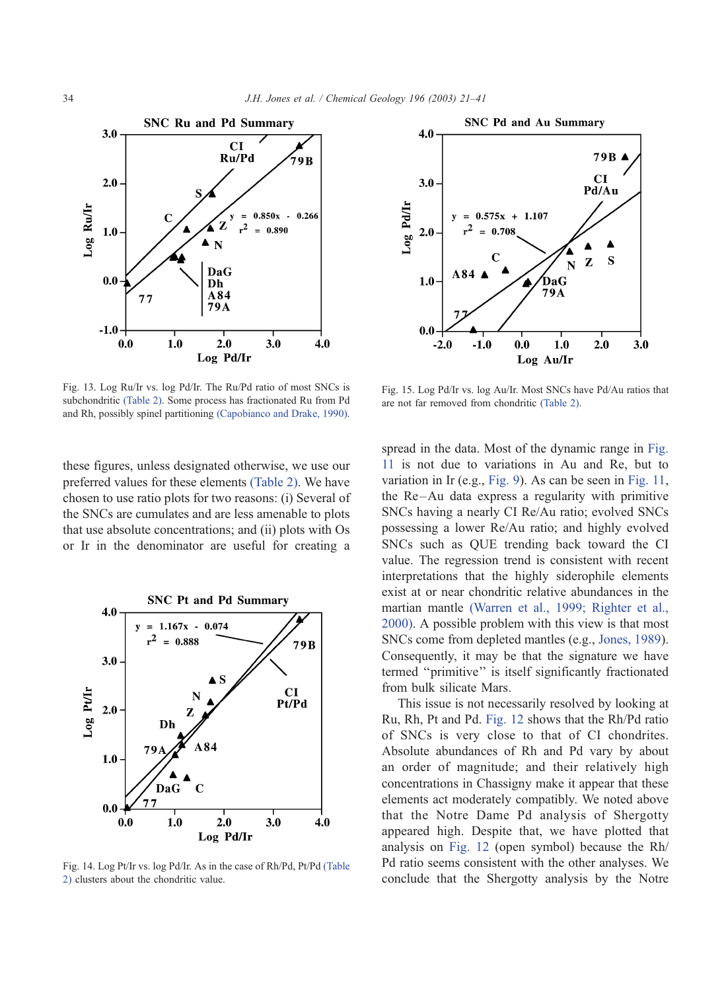<span id="page-13-0"></span>

Fig. 13. Log Ru/Ir vs. log Pd/Ir. The Ru/Pd ratio of most SNCs is subchondritic [\(Table 2\).](#page-11-0) Some process has fractionated Ru from Pd and Rh, possibly spinel partitioning [\(Capobianco and Drake, 1990\).](#page-19-0)

these figures, unless designated otherwise, we use our preferred values for these elements [\(Table 2\).](#page-11-0) We have chosen to use ratio plots for two reasons: (i) Several of the SNCs are cumulates and are less amenable to plots that use absolute concentrations; and (ii) plots with Os or Ir in the denominator are useful for creating a



Fig. 14. Log Pt/Ir vs. log Pd/Ir. As in the case of Rh/Pd, Pt/Pd [\(Table](#page-11-0) 2) clusters about the chondritic value.



Fig. 15. Log Pd/Ir vs. log Au/Ir. Most SNCs have Pd/Au ratios that are not far removed from chondritic [\(Table 2\).](#page-11-0)

spread in the data. Most of the dynamic range in [Fig.](#page-12-0) 11 is not due to variations in Au and Re, but to variation in Ir (e.g., [Fig. 9\)](#page-10-0). As can be seen in [Fig. 11,](#page-12-0) the Re –Au data express a regularity with primitive SNCs having a nearly CI Re/Au ratio; evolved SNCs possessing a lower Re/Au ratio; and highly evolved SNCs such as QUE trending back toward the CI value. The regression trend is consistent with recent interpretations that the highly siderophile elements exist at or near chondritic relative abundances in the martian mantle [\(Warren et al., 1999; Righter et al.,](#page-20-0) 2000). A possible problem with this view is that most SNCs come from depleted mantles (e.g., [Jones, 1989\)](#page-19-0). Consequently, it may be that the signature we have termed ''primitive'' is itself significantly fractionated from bulk silicate Mars.

This issue is not necessarily resolved by looking at Ru, Rh, Pt and Pd. [Fig. 12](#page-12-0) shows that the Rh/Pd ratio of SNCs is very close to that of CI chondrites. Absolute abundances of Rh and Pd vary by about an order of magnitude; and their relatively high concentrations in Chassigny make it appear that these elements act moderately compatibly. We noted above that the Notre Dame Pd analysis of Shergotty appeared high. Despite that, we have plotted that analysis on [Fig. 12](#page-12-0) (open symbol) because the Rh/ Pd ratio seems consistent with the other analyses. We conclude that the Shergotty analysis by the Notre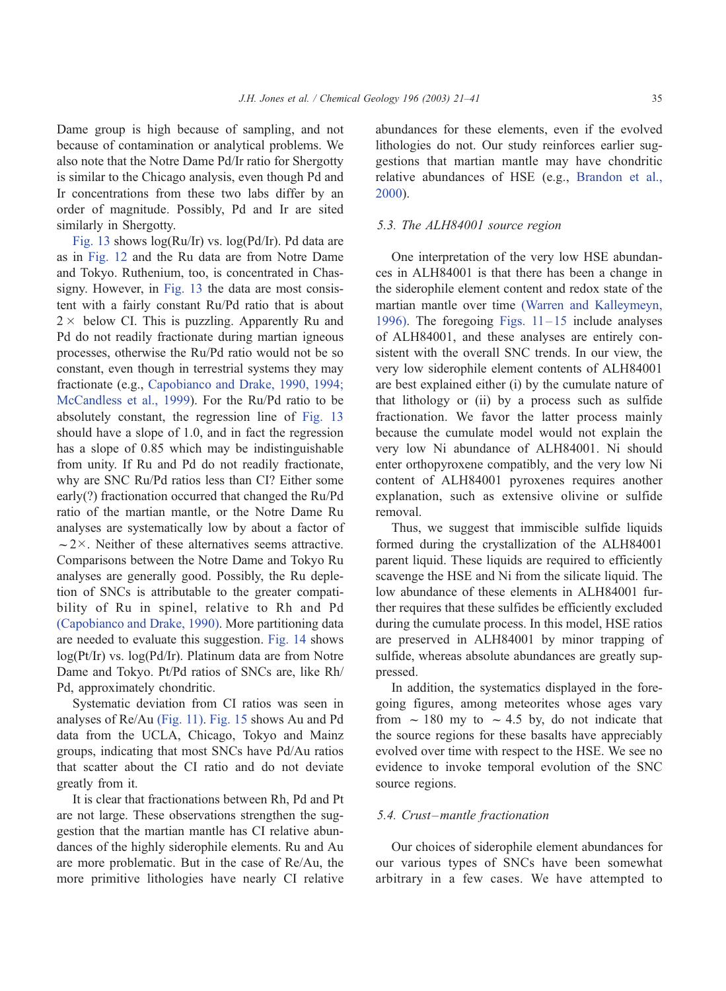Dame group is high because of sampling, and not because of contamination or analytical problems. We also note that the Notre Dame Pd/Ir ratio for Shergotty is similar to the Chicago analysis, even though Pd and Ir concentrations from these two labs differ by an order of magnitude. Possibly, Pd and Ir are sited similarly in Shergotty.

[Fig. 13](#page-13-0) shows log(Ru/Ir) vs. log(Pd/Ir). Pd data are as in [Fig. 12](#page-12-0) and the Ru data are from Notre Dame and Tokyo. Ruthenium, too, is concentrated in Chassigny. However, in [Fig. 13](#page-13-0) the data are most consistent with a fairly constant Ru/Pd ratio that is about  $2 \times$  below CI. This is puzzling. Apparently Ru and Pd do not readily fractionate during martian igneous processes, otherwise the Ru/Pd ratio would not be so constant, even though in terrestrial systems they may fractionate (e.g., [Capobianco and Drake, 1990, 1994;](#page-19-0) McCandless et al., 1999). For the Ru/Pd ratio to be absolutely constant, the regression line of [Fig. 13](#page-13-0) should have a slope of 1.0, and in fact the regression has a slope of 0.85 which may be indistinguishable from unity. If Ru and Pd do not readily fractionate, why are SNC Ru/Pd ratios less than CI? Either some early(?) fractionation occurred that changed the Ru/Pd ratio of the martian mantle, or the Notre Dame Ru analyses are systematically low by about a factor of  $\sim$  2 $\times$ . Neither of these alternatives seems attractive. Comparisons between the Notre Dame and Tokyo Ru analyses are generally good. Possibly, the Ru depletion of SNCs is attributable to the greater compatibility of Ru in spinel, relative to Rh and Pd [\(Capobianco and Drake, 1990\).](#page-19-0) More partitioning data are needed to evaluate this suggestion. [Fig. 14](#page-13-0) shows log(Pt/Ir) vs. log(Pd/Ir). Platinum data are from Notre Dame and Tokyo. Pt/Pd ratios of SNCs are, like Rh/ Pd, approximately chondritic.

Systematic deviation from CI ratios was seen in analyses of Re/Au [\(Fig. 11\).](#page-12-0) [Fig. 15](#page-13-0) shows Au and Pd data from the UCLA, Chicago, Tokyo and Mainz groups, indicating that most SNCs have Pd/Au ratios that scatter about the CI ratio and do not deviate greatly from it.

It is clear that fractionations between Rh, Pd and Pt are not large. These observations strengthen the suggestion that the martian mantle has CI relative abundances of the highly siderophile elements. Ru and Au are more problematic. But in the case of Re/Au, the more primitive lithologies have nearly CI relative abundances for these elements, even if the evolved lithologies do not. Our study reinforces earlier suggestions that martian mantle may have chondritic relative abundances of HSE (e.g., [Brandon et al.,](#page-19-0) 2000).

#### 5.3. The ALH84001 source region

One interpretation of the very low HSE abundances in ALH84001 is that there has been a change in the siderophile element content and redox state of the martian mantle over time [\(Warren and Kalleymeyn,](#page-20-0) 1996). The foregoing Figs.  $11-15$  include analyses of ALH84001, and these analyses are entirely consistent with the overall SNC trends. In our view, the very low siderophile element contents of ALH84001 [are best explained either \(i\) by the cumulate nature of](#page-19-0) that lithology or (ii) by a process such as sulfide fractionation. We favor the latter process mainly because the cumulate model would not explain the very low Ni abundance of ALH84001. Ni should enter orthopyroxene compatibly, and the very low Ni content of ALH84001 pyroxenes requires another explanation, such as extensive olivine or sulfide removal.

Thus, we suggest that immiscible sulfide liquids formed during the crystallization of the ALH84001 parent liquid. These liquids are required to efficiently scavenge the HSE and Ni from the silicate liquid. The low abundance of these elements in ALH84001 further requires that these sulfides be efficiently excluded during the cumulate process. In this model, HSE ratios are preserved in ALH84001 by minor trapping of sulfide, whereas absolute abundances are greatly suppressed.

In addition, the systematics displayed in the foregoing figures, among meteorites whose ages vary from  $\sim$  180 my to  $\sim$  4.5 by, do not indicate that the source regions for these basalts have appreciably evolved over time with respect to the HSE. We see no evidence to invoke temporal evolution of the SNC source regions.

#### 5.4. Crust-mantle fractionation

Our choices of siderophile element abundances for our various types of SNCs have been somewhat arbitrary in a few cases. We have attempted to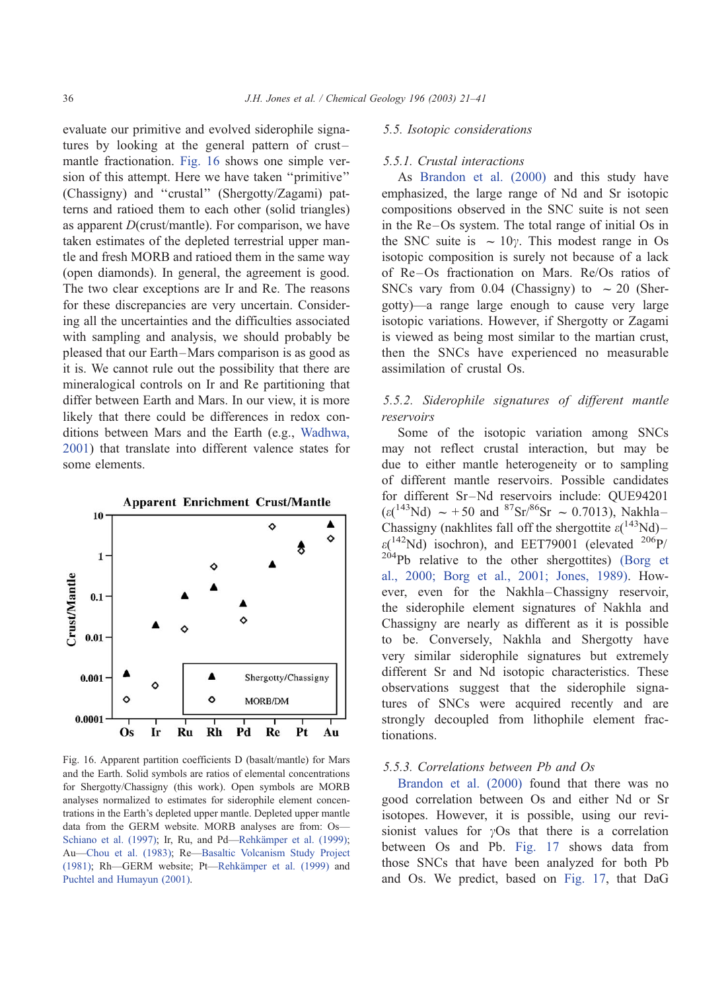evaluate our primitive and evolved siderophile signatures by looking at the general pattern of crustmantle fractionation. Fig. 16 shows one simple version of this attempt. Here we have taken ''primitive'' (Chassigny) and ''crustal'' (Shergotty/Zagami) patterns and ratioed them to each other (solid triangles) as apparent D(crust/mantle). For comparison, we have taken estimates of the depleted terrestrial upper mantle and fresh MORB and ratioed them in the same way (open diamonds). In general, the agreement is good. The two clear exceptions are Ir and Re. The reasons for these discrepancies are very uncertain. Considering all the uncertainties and the difficulties associated with sampling and analysis, we should probably be pleased that our Earth –Mars comparison is as good as it is. We cannot rule out the possibility that there are mineralogical controls on Ir and Re partitioning that differ between Earth and Mars. In our view, it is more likely that there could be differences in redox conditions between Mars and the Earth (e.g., [Wadhwa,](#page-20-0) 2001) that translate into different valence states for some elements.



Fig. 16. Apparent partition coefficients D (basalt/mantle) for Mars and the Earth. Solid symbols are ratios of elemental concentrations for Shergotty/Chassigny (this work). Open symbols are MORB analyses normalized to estimates for siderophile element concentrations in the Earth's depleted upper mantle. Depleted upper mantle data from the GERM website. MORB analyses are from: Os— [Schiano et al. \(1997\);](#page-20-0) Ir, Ru, and Pd—Rehkämper et al. (1999); Au—[Chou et al. \(1983\);](#page-19-0) Re—[Basaltic Volcanism Study Project](#page-19-0) (1981); Rh—GERM website; Pt—Rehkämper et al. (1999) and [Puchtel and Humayun \(2001\).](#page-20-0)

# 5.5. Isotopic considerations

#### 5.5.1. Crustal interactions

As [Brandon et al. \(2000\)](#page-19-0) and this study have emphasized, the large range of Nd and Sr isotopic compositions observed in the SNC suite is not seen in the Re –Os system. The total range of initial Os in the SNC suite is  $\sim 10\gamma$ . This modest range in Os isotopic composition is surely not because of a lack of Re –Os fractionation on Mars. Re/Os ratios of SNCs vary from 0.04 (Chassigny) to  $\sim 20$  (Shergotty)—a range large enough to cause very large isotopic variations. However, if Shergotty or Zagami is viewed as being most similar to the martian crust, then the SNCs have experienced no measurable assimilation of crustal Os.

# 5.5.2. Siderophile signatures of different mantle reservoirs

[Some of the isotopic variation among SNCs](#page-20-0) may not reflect crustal interaction, but may be due to either mantle heterogeneity or to sampling of different mantle reservoirs. Possible candidates for different Sr-Nd reservoirs include: QUE94201  $(\epsilon^{143} \text{Nd}) \sim +50$  and  ${}^{87}\text{Sr}/{}^{86}\text{Sr} \sim 0.7013$ ), Nakhla-Chassigny (nakhlites fall off the shergottite  $\varepsilon(^{143}Nd)$  $\varepsilon$ (<sup>142</sup>Nd) isochron), and EET79001 (elevated <sup>206</sup>P/  $204Pb$  relative to the other shergottites) [\(Borg et](#page-19-0) al., 2000; Borg et al., 2001; Jones, 1989). However, even for the Nakhla-Chassigny reservoir, the siderophile element signatures of Nakhla and Chassigny are nearly as different as it is possible to be. Conversely, Nakhla and Shergotty have very similar siderophile signatures but extremely different Sr and Nd isotopic characteristics. These observations suggest that the siderophile signatures of SNCs were acquired recently and are strongly decoupled from lithophile element fractionations.

#### 5.5.3. Correlations between Pb and Os

[Brandon et al. \(2000\)](#page-19-0) found that there was no good correlation between Os and either Nd or Sr isotopes. However, it is possible, using our revisionist values for  $\gamma$ Os that there is a correlation between Os and Pb. [Fig. 17](#page-16-0) shows data from those SNCs that have been analyzed for both Pb and Os. We predict, based on [Fig. 17,](#page-16-0) that DaG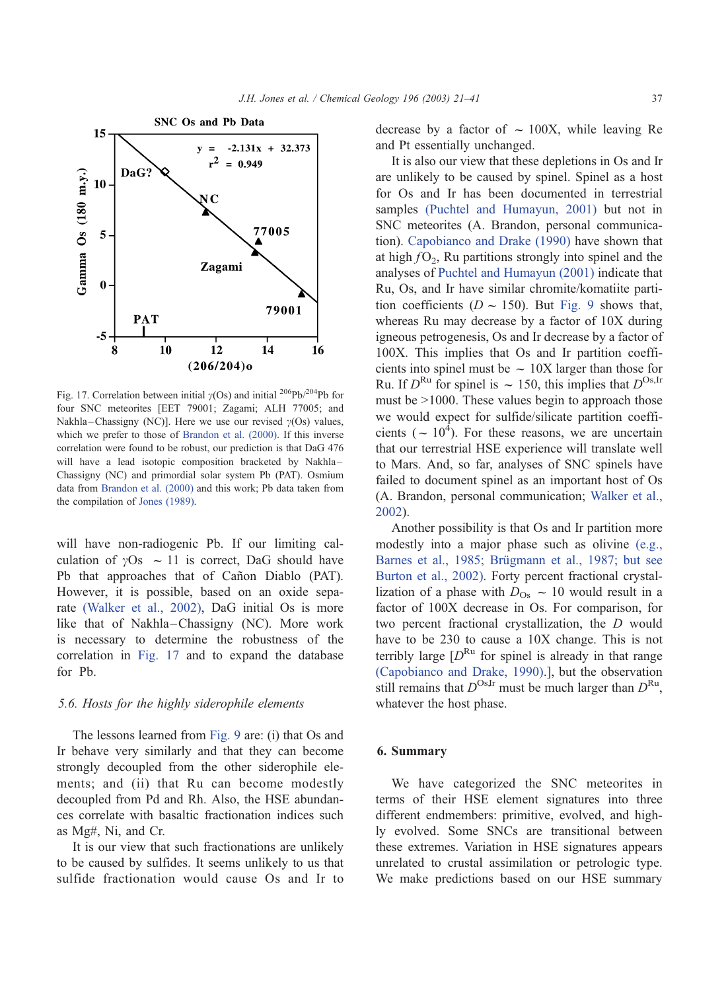<span id="page-16-0"></span>

Fig. 17. Correlation between initial  $\gamma$ (Os) and initial <sup>206</sup>Pb/<sup>204</sup>Pb for four SNC meteorites [EET 79001; Zagami; ALH 77005; and Nakhla – Chassigny (NC)]. Here we use our revised  $\gamma$ (Os) values, which we prefer to those of [Brandon et al. \(2000\).](#page-19-0) If this inverse correlation were found to be robust, our prediction is that DaG 476 will have a lead isotopic composition bracketed by Nakhla-Chassigny (NC) and primordial solar system Pb (PAT). Osmium data from [Brandon et al. \(2000\)](#page-19-0) and this work; Pb data taken from the compilation of [Jones \(1989\).](#page-19-0)

will have non-radiogenic Pb. If our limiting calculation of  $\gamma$ Os  $\sim$  11 is correct, DaG should have Pb that approaches that of Cañon Diablo (PAT). However, it is possible, based on an oxide separate [\(Walker et al., 2002\),](#page-20-0) DaG initial Os is more like that of Nakhla–Chassigny (NC). More work is necessary to determine the robustness of the correlation in Fig. 17 and to expand the database for Pb.

#### 5.6. Hosts for the highly siderophile elements

The lessons learned from [Fig. 9](#page-10-0) are: (i) that Os and Ir behave very similarly and that they can become strongly decoupled from the other siderophile elements; and (ii) that Ru can become modestly decoupled from Pd and Rh. Also, the HSE abundances correlate with basaltic fractionation indices such as Mg#, Ni, and Cr.

It is our view that such fractionations are unlikely to be caused by sulfides. It seems unlikely to us that sulfide fractionation would cause Os and Ir to

decrease by a factor of  $\sim 100X$ , while leaving Re and Pt essentially unchanged.

It is also our view that these depletions in Os and Ir are unlikely to be caused by spinel. Spinel as a host for Os and Ir has been documented in terrestrial samples [\(Puchtel and Humayun, 2001\)](#page-20-0) but not in SNC meteorites (A. Brandon, personal communication). [Capobianco and Drake \(1990\)](#page-19-0) have shown that at high  $fO_2$ , Ru partitions strongly into spinel and the analyses of [Puchtel and Humayun \(2001\)](#page-20-0) indicate that Ru, Os, and Ir have similar chromite/komatiite partition coefficients ( $D \sim 150$ ). But [Fig. 9](#page-10-0) shows that, whereas Ru may decrease by a factor of 10X during igneous petrogenesis, Os and Ir decrease by a factor of 100X. This implies that Os and Ir partition coefficients into spinel must be  $\sim 10X$  larger than those for Ru. If  $D^{Ru}$  for spinel is  $\sim 150$ , this implies that  $D^{Os,Ir}$ must be >1000. These values begin to approach those we would expect for sulfide/silicate partition coefficients ( $\sim 10^4$ ). For these reasons, we are uncertain that our terrestrial HSE experience will translate well to Mars. And, so far, analyses of SNC spinels have failed to document spinel as an important host of Os (A. Brandon, personal communication; [Walker et al.,](#page-20-0) 2002).

Another possibility is that Os and Ir partition more modestly into a major phase such as olivine [\(e.g.,](#page-19-0) Barnes et al., 1985; Brügmann et al., 1987; but see Burton et al., 2002). Forty percent fractional crystallization of a phase with  $D_{\text{Os}} \sim 10$  would result in a factor of 100X decrease in Os. For comparison, for two percent fractional crystallization, the D would have to be 230 to cause a 10X change. This is not terribly large  $[D^{Ru}$  for spinel is already in that range [\(Capobianco and Drake, 1990\).](#page-19-0)], but the observation still remains that  $D^{Os,r}$  must be much larger than  $D^{Ru}$ , whatever the host phase.

#### 6. Summary

We have categorized the SNC meteorites in terms of their HSE element signatures into three different endmembers: primitive, evolved, and highly evolved. Some SNCs are transitional between these extremes. Variation in HSE signatures appears unrelated to crustal assimilation or petrologic type. We make predictions based on our HSE summary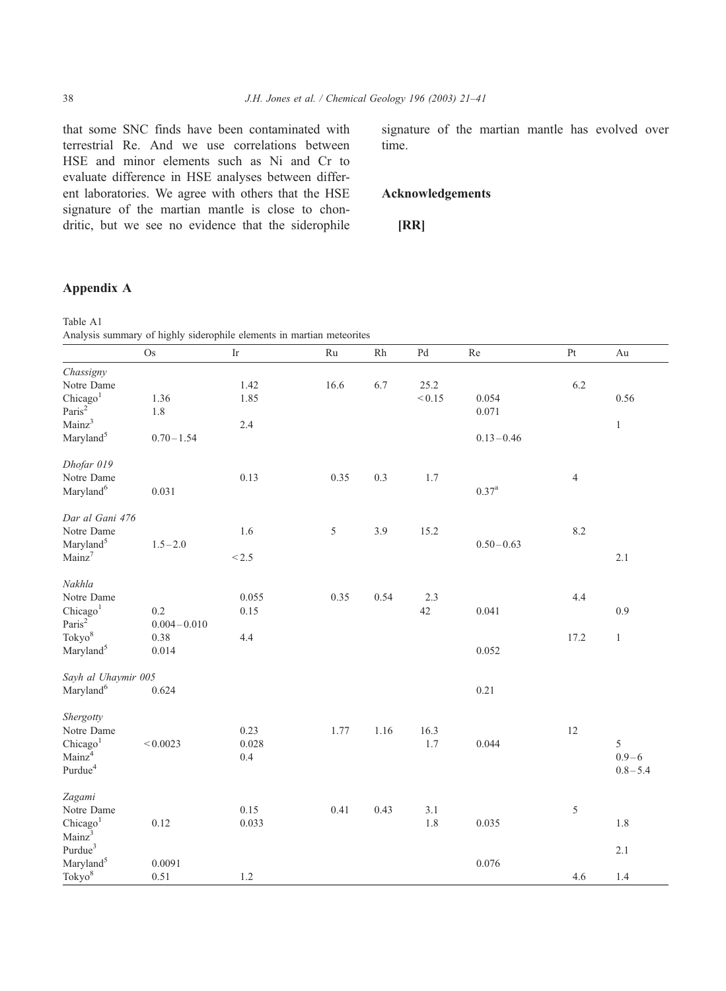that some SNC finds have been contaminated with terrestrial Re. And we use correlations between HSE and minor elements such as Ni and Cr to evaluate difference in HSE analyses between different laboratories. We agree with others that the HSE signature of the martian mantle is close to chondritic, but we see no evidence that the siderophile signature of the martian mantle has evolved over time.

# Acknowledgements

# [RR]

# Appendix A

Table A1 Analysis summary of highly siderophile elements in martian meteorites

|                       | <b>Os</b>       | Ir      | Ru   | Rh   | $\operatorname{Pd}$ | Re            | $\rm Pt$       | Au           |
|-----------------------|-----------------|---------|------|------|---------------------|---------------|----------------|--------------|
| Chassigny             |                 |         |      |      |                     |               |                |              |
| Notre Dame            |                 | 1.42    | 16.6 | 6.7  | 25.2                |               | 6.2            |              |
| Chicago <sup>1</sup>  | 1.36            | 1.85    |      |      | < 0.15              | 0.054         |                | 0.56         |
| Paris <sup>2</sup>    | 1.8             |         |      |      |                     | 0.071         |                |              |
| Mainz <sup>3</sup>    |                 | 2.4     |      |      |                     |               |                | $\mathbf{1}$ |
| Maryland <sup>5</sup> | $0.70 - 1.54$   |         |      |      |                     | $0.13 - 0.46$ |                |              |
| Dhofar 019            |                 |         |      |      |                     |               |                |              |
| Notre Dame            |                 | 0.13    | 0.35 | 0.3  | 1.7                 |               | $\overline{4}$ |              |
| Maryland <sup>6</sup> | 0.031           |         |      |      |                     | $0.37^{a}$    |                |              |
| Dar al Gani 476       |                 |         |      |      |                     |               |                |              |
| Notre Dame            |                 | 1.6     | 5    | 3.9  | 15.2                |               | 8.2            |              |
| Maryland <sup>5</sup> | $1.5 - 2.0$     |         |      |      |                     | $0.50 - 0.63$ |                |              |
| $Mainz^7$             |                 | < 2.5   |      |      |                     |               |                | 2.1          |
| Nakhla                |                 |         |      |      |                     |               |                |              |
| Notre Dame            |                 | 0.055   | 0.35 | 0.54 | 2.3                 |               | 4.4            |              |
| Chicago <sup>1</sup>  | 0.2             | 0.15    |      |      | 42                  | 0.041         |                | 0.9          |
| Paris <sup>2</sup>    | $0.004 - 0.010$ |         |      |      |                     |               |                |              |
| Tokyo <sup>8</sup>    | 0.38            | 4.4     |      |      |                     |               | 17.2           | $\mathbf{1}$ |
| Maryland <sup>5</sup> | 0.014           |         |      |      |                     | 0.052         |                |              |
|                       |                 |         |      |      |                     |               |                |              |
| Sayh al Uhaymir 005   |                 |         |      |      |                     |               |                |              |
| Maryland <sup>6</sup> | 0.624           |         |      |      |                     | 0.21          |                |              |
| Shergotty             |                 |         |      |      |                     |               |                |              |
| Notre Dame            |                 | 0.23    | 1.77 | 1.16 | 16.3                |               | $12\,$         |              |
| Chicago <sup>1</sup>  | < 0.0023        | 0.028   |      |      | 1.7                 | 0.044         |                | $\sqrt{5}$   |
| Mainz <sup>4</sup>    |                 | 0.4     |      |      |                     |               |                | $0.9 - 6$    |
| Purdue <sup>4</sup>   |                 |         |      |      |                     |               |                | $0.8 - 5.4$  |
| Zagami                |                 |         |      |      |                     |               |                |              |
| Notre Dame            |                 | 0.15    | 0.41 | 0.43 | 3.1                 |               | 5              |              |
| Chicago <sup>1</sup>  | 0.12            | 0.033   |      |      | 1.8                 | 0.035         |                | 1.8          |
| Mainz <sup>3</sup>    |                 |         |      |      |                     |               |                |              |
| Purdue <sup>3</sup>   |                 |         |      |      |                     |               |                | 2.1          |
| Maryland <sup>5</sup> | 0.0091          |         |      |      |                     | 0.076         |                |              |
| Tokyo <sup>8</sup>    | 0.51            | $1.2\,$ |      |      |                     |               | 4.6            | 1.4          |

<span id="page-17-0"></span>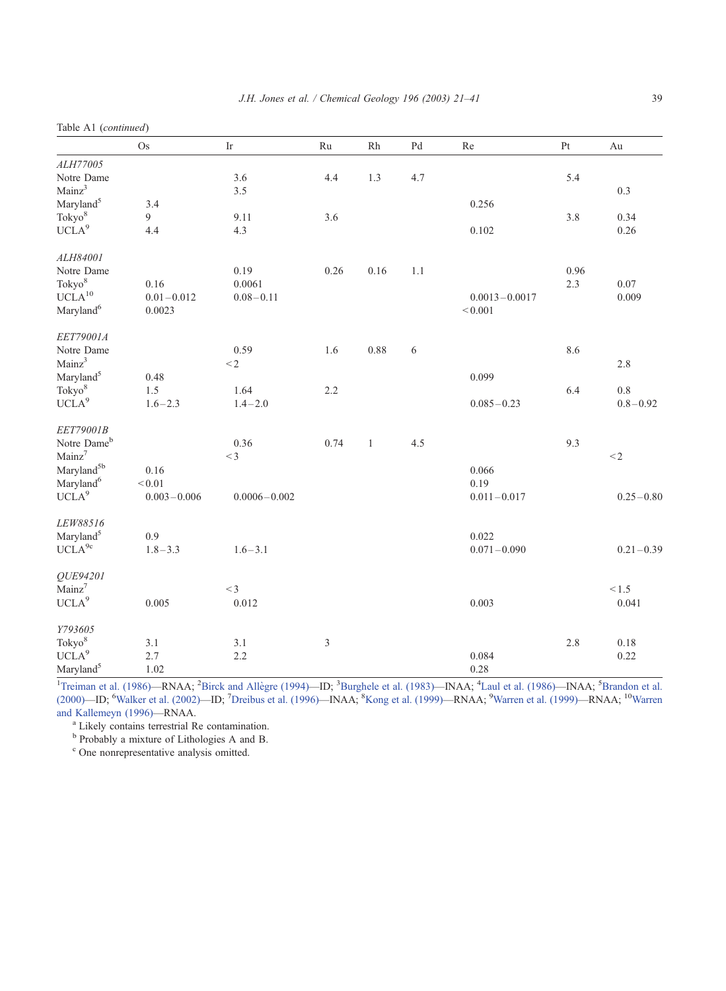Table A1 (continued)

|                                          | Os              | Ir               | Ru   | Rh   | Pd  | Re                | Pt   | Au            |
|------------------------------------------|-----------------|------------------|------|------|-----|-------------------|------|---------------|
| ALH77005                                 |                 |                  |      |      |     |                   |      |               |
| Notre Dame                               |                 | 3.6              | 4.4  | 1.3  | 4.7 |                   | 5.4  |               |
| Mainz <sup>3</sup>                       |                 | 3.5              |      |      |     |                   |      | 0.3           |
| Maryland <sup>5</sup>                    | 3.4             |                  |      |      |     | 0.256             |      |               |
| Tokyo <sup>8</sup>                       | 9               | 9.11             | 3.6  |      |     |                   | 3.8  | 0.34          |
| UCLA <sup>9</sup>                        | 4.4             | 4.3              |      |      |     | 0.102             |      | 0.26          |
| ALH84001                                 |                 |                  |      |      |     |                   |      |               |
| Notre Dame                               |                 | 0.19             | 0.26 | 0.16 | 1.1 |                   | 0.96 |               |
| Tokyo <sup>8</sup>                       | 0.16            | 0.0061           |      |      |     |                   | 2.3  | 0.07          |
| $UCLA^{10}$                              | $0.01 - 0.012$  | $0.08 - 0.11$    |      |      |     | $0.0013 - 0.0017$ |      | 0.009         |
| Maryland <sup>6</sup>                    | 0.0023          |                  |      |      |     | < 0.001           |      |               |
| EET79001A                                |                 |                  |      |      |     |                   |      |               |
| Notre Dame                               |                 | 0.59             | 1.6  | 0.88 | 6   |                   | 8.6  |               |
| Mainz <sup>3</sup>                       |                 | $<$ 2            |      |      |     |                   |      | 2.8           |
| Maryland <sup>5</sup>                    | 0.48            |                  |      |      |     | 0.099             |      |               |
| Tokyo <sup>8</sup>                       | 1.5             | 1.64             | 2.2  |      |     |                   | 6.4  | 0.8           |
| $\ensuremath{\mathsf{UCLA}}\xspace^9$    | $1.6 - 2.3$     | $1.4 - 2.0$      |      |      |     | $0.085 - 0.23$    |      | $0.8 - 0.92$  |
| EET79001B                                |                 |                  |      |      |     |                   |      |               |
| Notre Dame <sup>b</sup>                  |                 | 0.36             | 0.74 | 1    | 4.5 |                   | 9.3  |               |
| $Mainz^7$                                |                 | $<$ 3            |      |      |     |                   |      | $<$ 2         |
| Maryland <sup>5b</sup>                   | 0.16            |                  |      |      |     | 0.066             |      |               |
| Maryland <sup>6</sup>                    | < 0.01          |                  |      |      |     | 0.19              |      |               |
| UCLA <sup>9</sup>                        | $0.003 - 0.006$ | $0.0006 - 0.002$ |      |      |     | $0.011 - 0.017$   |      | $0.25 - 0.80$ |
| LEW88516                                 |                 |                  |      |      |     |                   |      |               |
| Maryland <sup>5</sup>                    | 0.9             |                  |      |      |     | 0.022             |      |               |
| $\ensuremath{\mathsf{UCLA}}\xspace^{9c}$ | $1.8 - 3.3$     | $1.6 - 3.1$      |      |      |     | $0.071 - 0.090$   |      | $0.21 - 0.39$ |
| QUE94201                                 |                 |                  |      |      |     |                   |      |               |
| $\mathrm{Mainz}^7$                       |                 | $<$ 3            |      |      |     |                   |      | < 1.5         |
| $\ensuremath{\mathsf{UCLA}}\xspace^9$    | 0.005           | 0.012            |      |      |     | 0.003             |      | 0.041         |
| Y793605                                  |                 |                  |      |      |     |                   |      |               |
| Tokyo <sup>8</sup>                       | 3.1             | 3.1              | 3    |      |     |                   | 2.8  | 0.18          |
| $\dot{\text{UCLA}}^9$                    | 2.7             | 2.2              |      |      |     | 0.084             |      | 0.22          |
| Maryland <sup>5</sup>                    | 1.02            |                  |      |      |     | 0.28              |      |               |

<sup>1</sup>Treiman et al. (1986)—RNAA; <sup>2</sup>Birck and Allègre (1994)—ID; <sup>3</sup>Burghele et al. (1983)—INAA; <sup>4</sup>Laul et al. (1986)—INAA; <sup>5</sup>Brandon et al.<br>(2000)—ID; <sup>6</sup>Walker et al. (2002)—ID; <sup>7</sup>Dreibus et al. (1996)—INAA; <sup>8</sup>Kong et and Kallemeyn (1996)—RNAA.<br><sup>a</sup> Likely contains terrestrial Re contamination.

b Probably a mixture of Lithologies A and B.

<sup>c</sup> One nonrepresentative analysis omitted.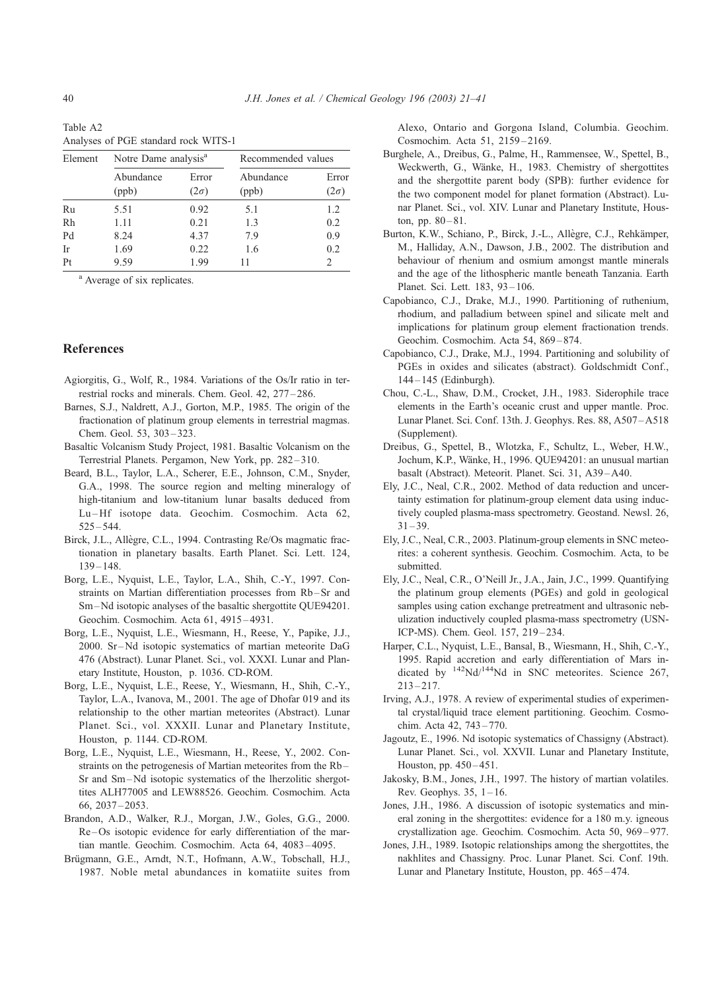<span id="page-19-0"></span>Table A2 Analyses of PGE standard rock WITS-1

| Element | Notre Dame analysis <sup>a</sup> |                      | Recommended values |                      |  |
|---------|----------------------------------|----------------------|--------------------|----------------------|--|
|         | Abundance<br>(ppb)               | Error<br>$(2\sigma)$ | Abundance<br>(ppb) | Error<br>$(2\sigma)$ |  |
| Ru      | 5.51                             | 0.92                 | 5.1                | 1.2                  |  |
| Rh      | 1.11                             | 0.21                 | 1.3                | 0.2                  |  |
| Pd      | 8.24                             | 4.37                 | 7.9                | 0.9                  |  |
| Ir      | 1.69                             | 0.22                 | 1.6                | 0.2                  |  |
| Pt      | 9.59                             | 1.99                 | 11                 | $\mathfrak{D}$       |  |

<sup>a</sup> Average of six replicates.

#### References

- Agiorgitis, G., Wolf, R., 1984. Variations of the Os/Ir ratio in terrestrial rocks and minerals. Chem. Geol. 42, 277 – 286.
- Barnes, S.J., Naldrett, A.J., Gorton, M.P., 1985. The origin of the fractionation of platinum group elements in terrestrial magmas. Chem. Geol. 53, 303 – 323.
- Basaltic Volcanism Study Project, 1981. Basaltic Volcanism on the Terrestrial Planets. Pergamon, New York, pp. 282 – 310.
- Beard, B.L., Taylor, L.A., Scherer, E.E., Johnson, C.M., Snyder, G.A., 1998. The source region and melting mineralogy of high-titanium and low-titanium lunar basalts deduced from Lu – Hf isotope data. Geochim. Cosmochim. Acta 62,  $525 - 544.$
- Birck, J.L., Allègre, C.L., 1994. Contrasting Re/Os magmatic fractionation in planetary basalts. Earth Planet. Sci. Lett. 124,  $139 - 148$
- Borg, L.E., Nyquist, L.E., Taylor, L.A., Shih, C.-Y., 1997. Constraints on Martian differentiation processes from Rb – Sr and Sm –Nd isotopic analyses of the basaltic shergottite QUE94201. Geochim. Cosmochim. Acta 61, 4915 – 4931.
- Borg, L.E., Nyquist, L.E., Wiesmann, H., Reese, Y., Papike, J.J., 2000. Sr-Nd isotopic systematics of martian meteorite DaG 476 (Abstract). Lunar Planet. Sci., vol. XXXI. Lunar and Planetary Institute, Houston, p. 1036. CD-ROM.
- Borg, L.E., Nyquist, L.E., Reese, Y., Wiesmann, H., Shih, C.-Y., Taylor, L.A., Ivanova, M., 2001. The age of Dhofar 019 and its relationship to the other martian meteorites (Abstract). Lunar Planet. Sci., vol. XXXII. Lunar and Planetary Institute, Houston, p. 1144. CD-ROM.
- Borg, L.E., Nyquist, L.E., Wiesmann, H., Reese, Y., 2002. Constraints on the petrogenesis of Martian meteorites from the Rb – Sr and Sm-Nd isotopic systematics of the lherzolitic shergottites ALH77005 and LEW88526. Geochim. Cosmochim. Acta 66, 2037 – 2053.
- Brandon, A.D., Walker, R.J., Morgan, J.W., Goles, G.G., 2000. Re – Os isotopic evidence for early differentiation of the martian mantle. Geochim. Cosmochim. Acta 64, 4083 – 4095.
- Brügmann, G.E., Arndt, N.T., Hofmann, A.W., Tobschall, H.J., 1987. Noble metal abundances in komatiite suites from

Alexo, Ontario and Gorgona Island, Columbia. Geochim. Cosmochim. Acta 51, 2159 – 2169.

- Burghele, A., Dreibus, G., Palme, H., Rammensee, W., Spettel, B., Weckwerth, G., Wänke, H., 1983. Chemistry of shergottites and the shergottite parent body (SPB): further evidence for the two component model for planet formation (Abstract). Lunar Planet. Sci., vol. XIV. Lunar and Planetary Institute, Houston, pp.  $80 - 81$ .
- Burton, K.W., Schiano, P., Birck, J.-L., Allègre, C.J., Rehkämper, M., Halliday, A.N., Dawson, J.B., 2002. The distribution and behaviour of rhenium and osmium amongst mantle minerals and the age of the lithospheric mantle beneath Tanzania. Earth Planet. Sci. Lett. 183, 93 – 106.
- Capobianco, C.J., Drake, M.J., 1990. Partitioning of ruthenium, rhodium, and palladium between spinel and silicate melt and implications for platinum group element fractionation trends. Geochim. Cosmochim. Acta 54, 869 – 874.
- Capobianco, C.J., Drake, M.J., 1994. Partitioning and solubility of PGEs in oxides and silicates (abstract). Goldschmidt Conf., 144 – 145 (Edinburgh).
- Chou, C.-L., Shaw, D.M., Crocket, J.H., 1983. Siderophile trace elements in the Earth's oceanic crust and upper mantle. Proc. Lunar Planet. Sci. Conf. 13th. J. Geophys. Res. 88, A507 – A518 (Supplement).
- Dreibus, G., Spettel, B., Wlotzka, F., Schultz, L., Weber, H.W., Jochum, K.P., Wänke, H., 1996. QUE94201: an unusual martian basalt (Abstract). Meteorit. Planet. Sci. 31, A39 – A40.
- Ely, J.C., Neal, C.R., 2002. Method of data reduction and uncertainty estimation for platinum-group element data using inductively coupled plasma-mass spectrometry. Geostand. Newsl. 26,  $31 - 39$
- Ely, J.C., Neal, C.R., 2003. Platinum-group elements in SNC meteorites: a coherent synthesis. Geochim. Cosmochim. Acta, to be submitted.
- Ely, J.C., Neal, C.R., O'Neill Jr., J.A., Jain, J.C., 1999. Quantifying the platinum group elements (PGEs) and gold in geological samples using cation exchange pretreatment and ultrasonic nebulization inductively coupled plasma-mass spectrometry (USN-ICP-MS). Chem. Geol. 157, 219 – 234.
- Harper, C.L., Nyquist, L.E., Bansal, B., Wiesmann, H., Shih, C.-Y., 1995. Rapid accretion and early differentiation of Mars indicated by <sup>142</sup>Nd/<sup>144</sup>Nd in SNC meteorites. Science 267,  $213 - 217$ .
- Irving, A.J., 1978. A review of experimental studies of experimental crystal/liquid trace element partitioning. Geochim. Cosmochim. Acta 42, 743 – 770.
- Jagoutz, E., 1996. Nd isotopic systematics of Chassigny (Abstract). Lunar Planet. Sci., vol. XXVII. Lunar and Planetary Institute, Houston, pp. 450-451.
- Jakosky, B.M., Jones, J.H., 1997. The history of martian volatiles. Rev. Geophys.  $35, 1-16$ .
- Jones, J.H., 1986. A discussion of isotopic systematics and mineral zoning in the shergottites: evidence for a 180 m.y. igneous crystallization age. Geochim. Cosmochim. Acta 50, 969 – 977.
- Jones, J.H., 1989. Isotopic relationships among the shergottites, the nakhlites and Chassigny. Proc. Lunar Planet. Sci. Conf. 19th. Lunar and Planetary Institute, Houston, pp. 465 – 474.